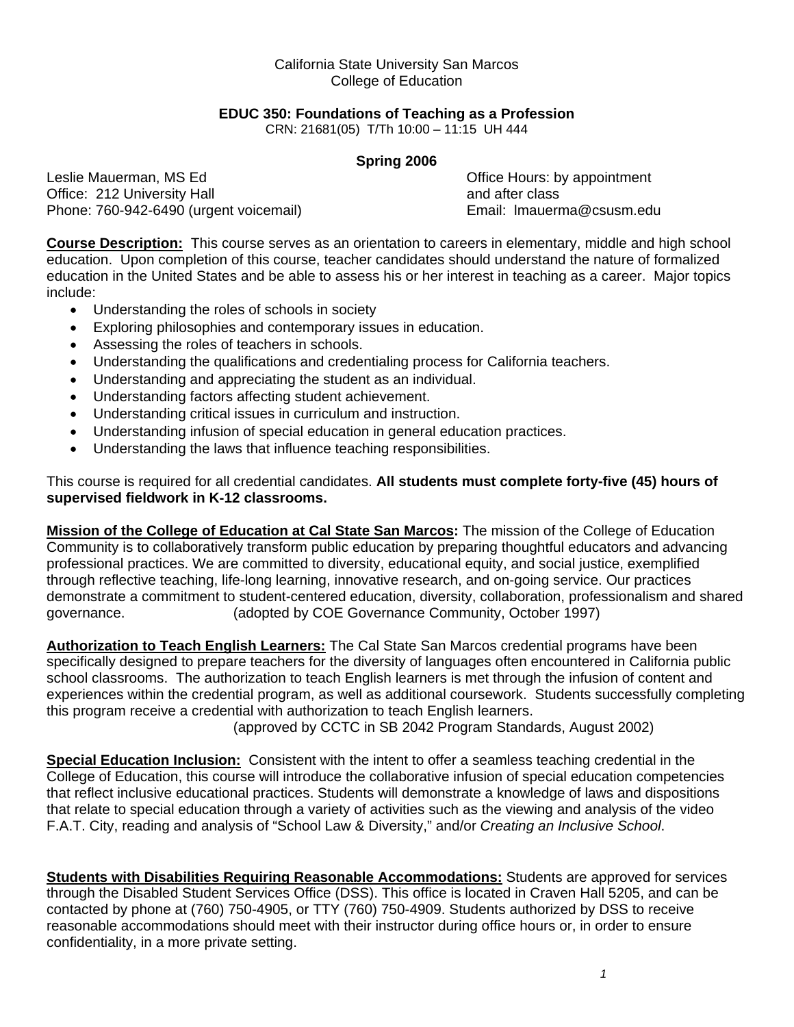#### California State University San Marcos College of Education

#### **EDUC 350: Foundations of Teaching as a Profession**

CRN: 21681(05) T/Th 10:00 – 11:15 UH 444

#### **Spring 2006**

Leslie Mauerman, MS Ed **Definition** Controllering Controllering Controllering Controllering Controllering Controllering Controllering Controllering Controllering Controllering Controllering Controllering Controllering Cont Office: 212 University Hall and after class and after class Phone: 760-942-6490 (urgent voicemail) Email: lmauerma@csusm.edu

**Course Description:** This course serves as an orientation to careers in elementary, middle and high school education. Upon completion of this course, teacher candidates should understand the nature of formalized education in the United States and be able to assess his or her interest in teaching as a career. Major topics include:

- Understanding the roles of schools in society
- Exploring philosophies and contemporary issues in education.
- Assessing the roles of teachers in schools.
- Understanding the qualifications and credentialing process for California teachers.
- Understanding and appreciating the student as an individual.
- Understanding factors affecting student achievement.
- Understanding critical issues in curriculum and instruction.
- Understanding infusion of special education in general education practices.
- Understanding the laws that influence teaching responsibilities.

This course is required for all credential candidates. **All students must complete forty-five (45) hours of supervised fieldwork in K-12 classrooms.** 

**Mission of the College of Education at Cal State San Marcos:** The mission of the College of Education Community is to collaboratively transform public education by preparing thoughtful educators and advancing professional practices. We are committed to diversity, educational equity, and social justice, exemplified through reflective teaching, life-long learning, innovative research, and on-going service. Our practices demonstrate a commitment to student-centered education, diversity, collaboration, professionalism and shared governance. (adopted by COE Governance Community, October 1997)

**Authorization to Teach English Learners:** The Cal State San Marcos credential programs have been specifically designed to prepare teachers for the diversity of languages often encountered in California public school classrooms. The authorization to teach English learners is met through the infusion of content and experiences within the credential program, as well as additional coursework. Students successfully completing this program receive a credential with authorization to teach English learners.

(approved by CCTC in SB 2042 Program Standards, August 2002)

**Special Education Inclusion:** Consistent with the intent to offer a seamless teaching credential in the College of Education, this course will introduce the collaborative infusion of special education competencies that reflect inclusive educational practices. Students will demonstrate a knowledge of laws and dispositions that relate to special education through a variety of activities such as the viewing and analysis of the video F.A.T. City, reading and analysis of "School Law & Diversity," and/or *Creating an Inclusive School*.

**Students with Disabilities Requiring Reasonable Accommodations:** Students are approved for services through the Disabled Student Services Office (DSS). This office is located in Craven Hall 5205, and can be contacted by phone at (760) 750-4905, or TTY (760) 750-4909. Students authorized by DSS to receive reasonable accommodations should meet with their instructor during office hours or, in order to ensure confidentiality, in a more private setting.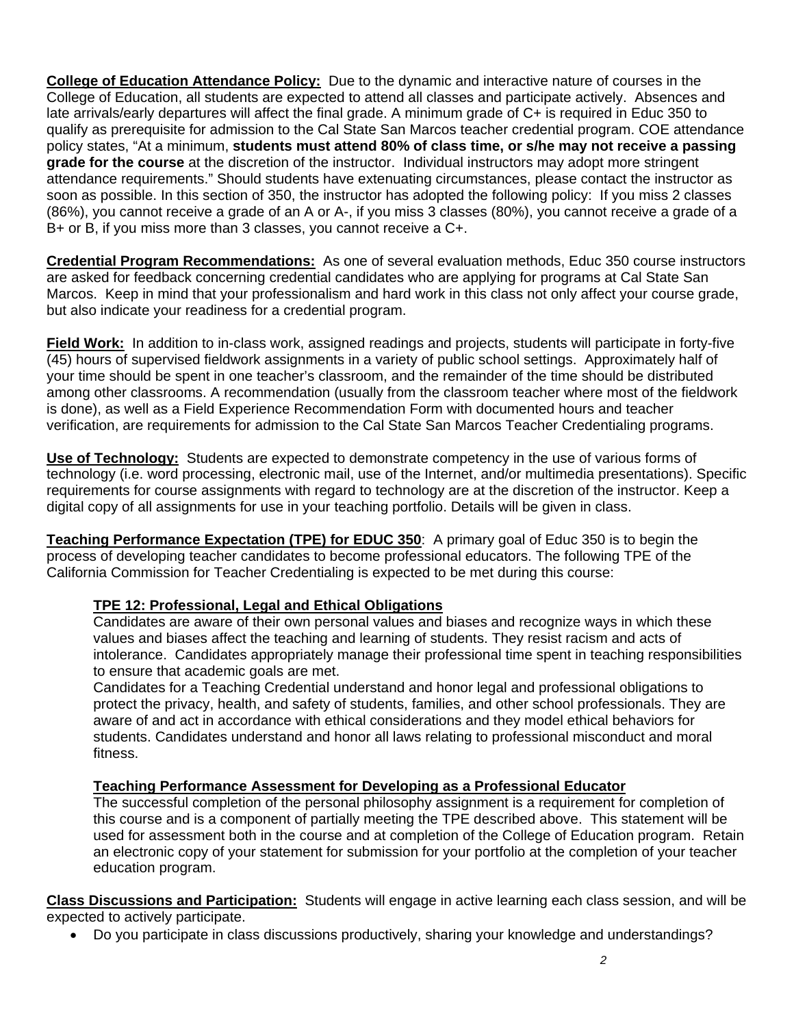**College of Education Attendance Policy:** Due to the dynamic and interactive nature of courses in the College of Education, all students are expected to attend all classes and participate actively. Absences and late arrivals/early departures will affect the final grade. A minimum grade of C+ is required in Educ 350 to qualify as prerequisite for admission to the Cal State San Marcos teacher credential program. COE attendance policy states, "At a minimum, **students must attend 80% of class time, or s/he may not receive a passing grade for the course** at the discretion of the instructor. Individual instructors may adopt more stringent attendance requirements." Should students have extenuating circumstances, please contact the instructor as soon as possible. In this section of 350, the instructor has adopted the following policy: If you miss 2 classes (86%), you cannot receive a grade of an A or A-, if you miss 3 classes (80%), you cannot receive a grade of a B+ or B, if you miss more than 3 classes, you cannot receive a C+.

**Credential Program Recommendations:** As one of several evaluation methods, Educ 350 course instructors are asked for feedback concerning credential candidates who are applying for programs at Cal State San Marcos. Keep in mind that your professionalism and hard work in this class not only affect your course grade, but also indicate your readiness for a credential program.

**Field Work:** In addition to in-class work, assigned readings and projects, students will participate in forty-five (45) hours of supervised fieldwork assignments in a variety of public school settings. Approximately half of your time should be spent in one teacher's classroom, and the remainder of the time should be distributed among other classrooms. A recommendation (usually from the classroom teacher where most of the fieldwork is done), as well as a Field Experience Recommendation Form with documented hours and teacher verification, are requirements for admission to the Cal State San Marcos Teacher Credentialing programs.

**Use of Technology:** Students are expected to demonstrate competency in the use of various forms of technology (i.e. word processing, electronic mail, use of the Internet, and/or multimedia presentations). Specific requirements for course assignments with regard to technology are at the discretion of the instructor. Keep a digital copy of all assignments for use in your teaching portfolio. Details will be given in class.

**Teaching Performance Expectation (TPE) for EDUC 350**: A primary goal of Educ 350 is to begin the process of developing teacher candidates to become professional educators. The following TPE of the California Commission for Teacher Credentialing is expected to be met during this course:

## **TPE 12: Professional, Legal and Ethical Obligations**

Candidates are aware of their own personal values and biases and recognize ways in which these values and biases affect the teaching and learning of students. They resist racism and acts of intolerance. Candidates appropriately manage their professional time spent in teaching responsibilities to ensure that academic goals are met.

Candidates for a Teaching Credential understand and honor legal and professional obligations to protect the privacy, health, and safety of students, families, and other school professionals. They are aware of and act in accordance with ethical considerations and they model ethical behaviors for students. Candidates understand and honor all laws relating to professional misconduct and moral fitness.

## **Teaching Performance Assessment for Developing as a Professional Educator**

The successful completion of the personal philosophy assignment is a requirement for completion of this course and is a component of partially meeting the TPE described above. This statement will be used for assessment both in the course and at completion of the College of Education program. Retain an electronic copy of your statement for submission for your portfolio at the completion of your teacher education program.

**Class Discussions and Participation:** Students will engage in active learning each class session, and will be expected to actively participate.

• Do you participate in class discussions productively, sharing your knowledge and understandings?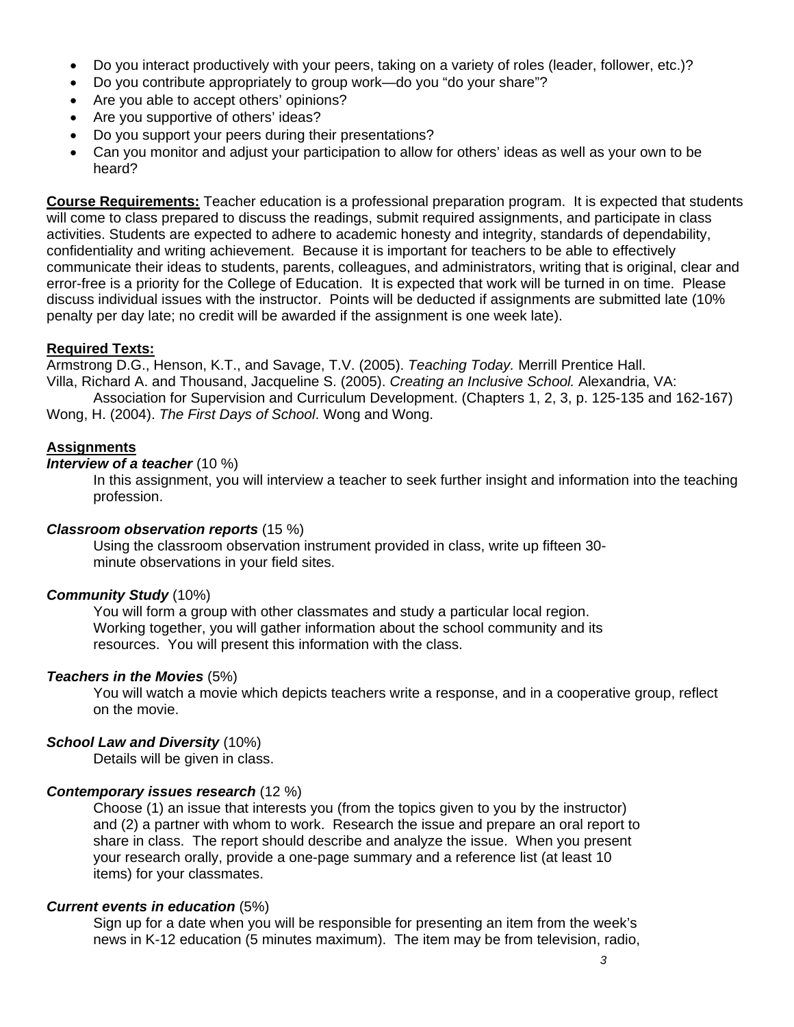- Do you interact productively with your peers, taking on a variety of roles (leader, follower, etc.)?
- Do you contribute appropriately to group work—do you "do your share"?
- Are you able to accept others' opinions?
- Are you supportive of others' ideas?
- Do you support your peers during their presentations?
- Can you monitor and adjust your participation to allow for others' ideas as well as your own to be heard?

**Course Requirements:** Teacher education is a professional preparation program. It is expected that students will come to class prepared to discuss the readings, submit required assignments, and participate in class activities. Students are expected to adhere to academic honesty and integrity, standards of dependability, confidentiality and writing achievement. Because it is important for teachers to be able to effectively communicate their ideas to students, parents, colleagues, and administrators, writing that is original, clear and error-free is a priority for the College of Education. It is expected that work will be turned in on time. Please discuss individual issues with the instructor. Points will be deducted if assignments are submitted late (10% penalty per day late; no credit will be awarded if the assignment is one week late).

## **Required Texts:**

Armstrong D.G., Henson, K.T., and Savage, T.V. (2005). *Teaching Today.* Merrill Prentice Hall. Villa, Richard A. and Thousand, Jacqueline S. (2005). *Creating an Inclusive School.* Alexandria, VA:

Association for Supervision and Curriculum Development. (Chapters 1, 2, 3, p. 125-135 and 162-167) Wong, H. (2004). *The First Days of School*. Wong and Wong.

## **Assignments**

#### *Interview of a teacher* (10 %)

In this assignment, you will interview a teacher to seek further insight and information into the teaching profession.

### *Classroom observation reports* (15 %)

Using the classroom observation instrument provided in class, write up fifteen 30 minute observations in your field sites.

### *Community Study* (10%)

You will form a group with other classmates and study a particular local region. Working together, you will gather information about the school community and its resources. You will present this information with the class.

### *Teachers in the Movies* (5%)

You will watch a movie which depicts teachers write a response, and in a cooperative group, reflect on the movie.

### *School Law and Diversity* (10%)

Details will be given in class.

### *Contemporary issues research* (12 %)

Choose (1) an issue that interests you (from the topics given to you by the instructor) and (2) a partner with whom to work. Research the issue and prepare an oral report to share in class. The report should describe and analyze the issue. When you present your research orally, provide a one-page summary and a reference list (at least 10 items) for your classmates.

### *Current events in education* (5%)

Sign up for a date when you will be responsible for presenting an item from the week's news in K-12 education (5 minutes maximum). The item may be from television, radio,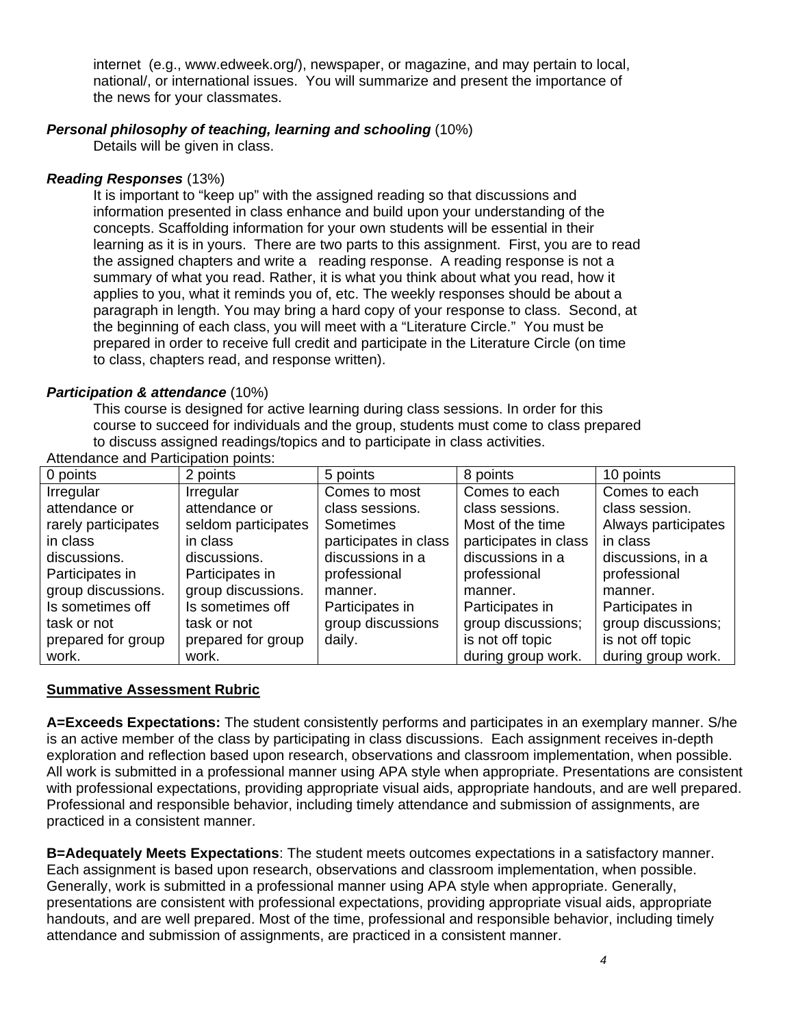internet (e.g., www.edweek.org/), newspaper, or magazine, and may pertain to local, national/, or international issues. You will summarize and present the importance of the news for your classmates.

#### *Personal philosophy of teaching, learning and schooling* (10%)

Details will be given in class.

#### *Reading Responses* (13%)

It is important to "keep up" with the assigned reading so that discussions and information presented in class enhance and build upon your understanding of the concepts. Scaffolding information for your own students will be essential in their learning as it is in yours. There are two parts to this assignment. First, you are to read the assigned chapters and write a reading response. A reading response is not a summary of what you read. Rather, it is what you think about what you read, how it applies to you, what it reminds you of, etc. The weekly responses should be about a paragraph in length. You may bring a hard copy of your response to class. Second, at the beginning of each class, you will meet with a "Literature Circle." You must be prepared in order to receive full credit and participate in the Literature Circle (on time to class, chapters read, and response written).

#### *Participation & attendance* (10%)

This course is designed for active learning during class sessions. In order for this course to succeed for individuals and the group, students must come to class prepared to discuss assigned readings/topics and to participate in class activities.

| 0 points            | 2 points            | 5 points              | 8 points              | 10 points           |
|---------------------|---------------------|-----------------------|-----------------------|---------------------|
| Irregular           | Irregular           | Comes to most         | Comes to each         | Comes to each       |
| attendance or       | attendance or       | class sessions.       | class sessions.       | class session.      |
| rarely participates | seldom participates | Sometimes             | Most of the time      | Always participates |
| in class            | in class            | participates in class | participates in class | in class            |
| discussions.        | discussions.        | discussions in a      | discussions in a      | discussions, in a   |
| Participates in     | Participates in     | professional          | professional          | professional        |
| group discussions.  | group discussions.  | manner.               | manner.               | manner.             |
| Is sometimes off    | Is sometimes off    | Participates in       | Participates in       | Participates in     |
| task or not         | task or not         | group discussions     | group discussions;    | group discussions;  |
| prepared for group  | prepared for group  | daily.                | is not off topic      | is not off topic    |
| work.               | work.               |                       | during group work.    | during group work.  |

Attendance and Participation points:

### **Summative Assessment Rubric**

**A=Exceeds Expectations:** The student consistently performs and participates in an exemplary manner. S/he is an active member of the class by participating in class discussions. Each assignment receives in-depth exploration and reflection based upon research, observations and classroom implementation, when possible. All work is submitted in a professional manner using APA style when appropriate. Presentations are consistent with professional expectations, providing appropriate visual aids, appropriate handouts, and are well prepared. Professional and responsible behavior, including timely attendance and submission of assignments, are practiced in a consistent manner.

**B=Adequately Meets Expectations**: The student meets outcomes expectations in a satisfactory manner. Each assignment is based upon research, observations and classroom implementation, when possible. Generally, work is submitted in a professional manner using APA style when appropriate. Generally, presentations are consistent with professional expectations, providing appropriate visual aids, appropriate handouts, and are well prepared. Most of the time, professional and responsible behavior, including timely attendance and submission of assignments, are practiced in a consistent manner.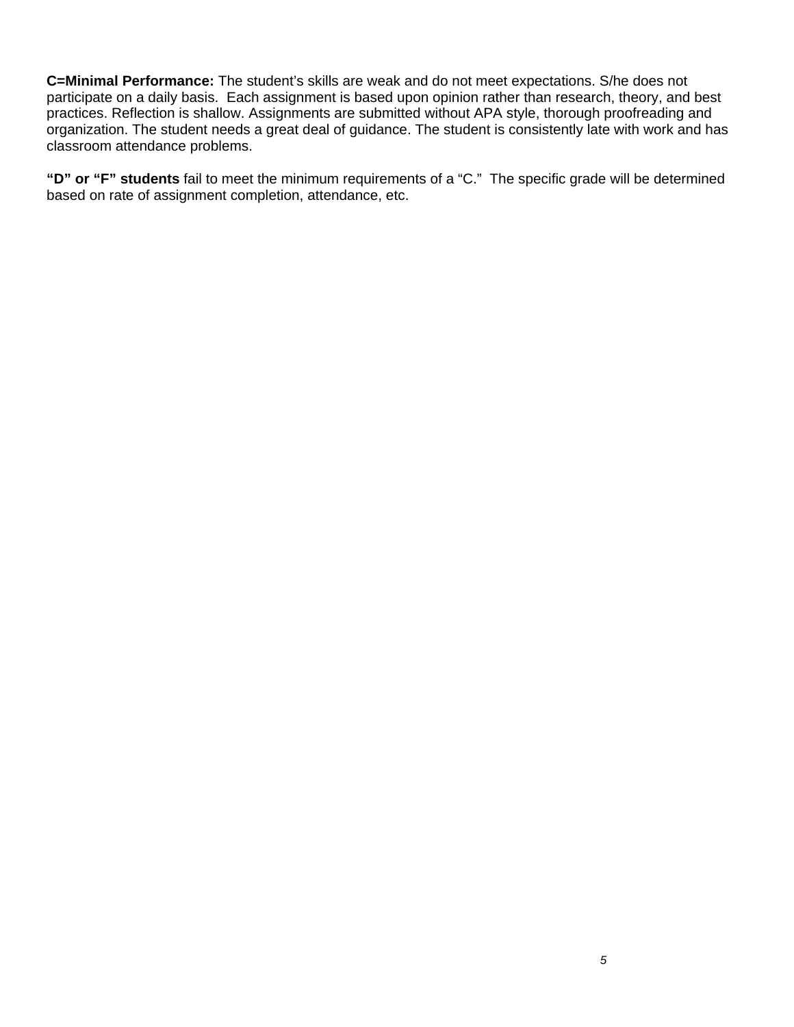**C=Minimal Performance:** The student's skills are weak and do not meet expectations. S/he does not participate on a daily basis. Each assignment is based upon opinion rather than research, theory, and best practices. Reflection is shallow. Assignments are submitted without APA style, thorough proofreading and organization. The student needs a great deal of guidance. The student is consistently late with work and has classroom attendance problems.

**"D" or "F" students** fail to meet the minimum requirements of a "C." The specific grade will be determined based on rate of assignment completion, attendance, etc.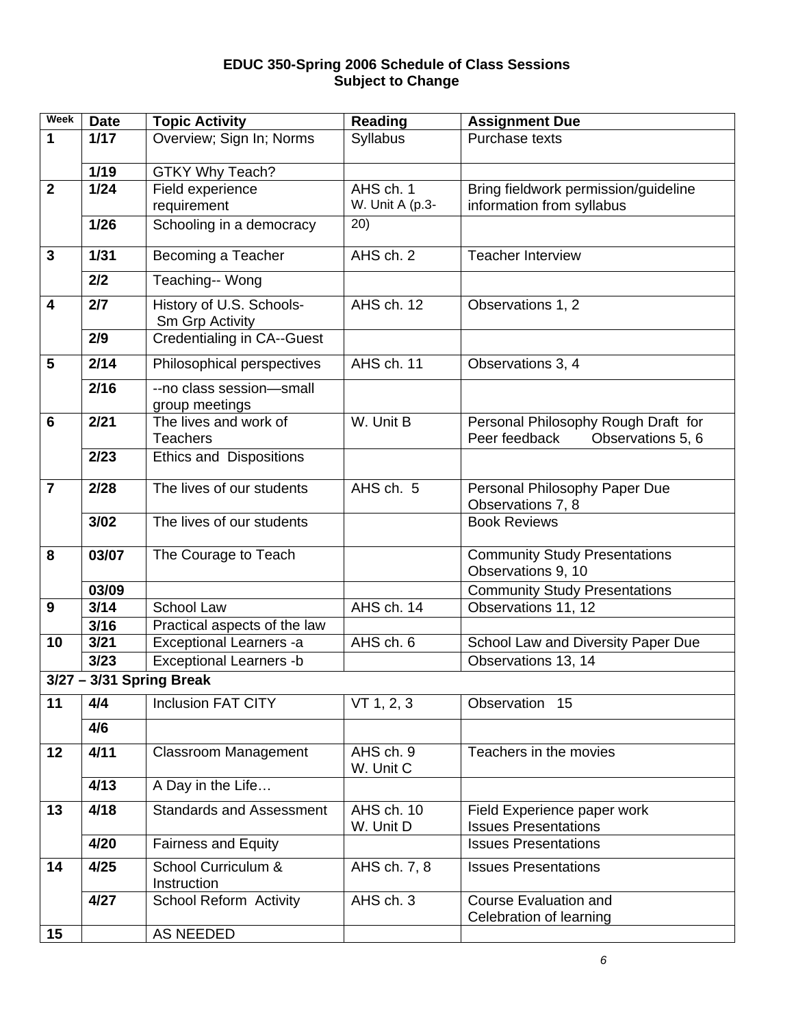#### **EDUC 350-Spring 2006 Schedule of Class Sessions Subject to Change**

| Week                    | <b>Date</b> | <b>Topic Activity</b>                                | <b>Reading</b>               | <b>Assignment Due</b>                                             |
|-------------------------|-------------|------------------------------------------------------|------------------------------|-------------------------------------------------------------------|
| 1                       | $1/17$      | Overview; Sign In; Norms                             | Syllabus                     | Purchase texts                                                    |
|                         |             |                                                      |                              |                                                                   |
|                         | $1/19$      | <b>GTKY Why Teach?</b>                               |                              |                                                                   |
| $\overline{2}$          | $1/24$      | Field experience                                     | AHS ch. 1<br>W. Unit A (p.3- | Bring fieldwork permission/guideline<br>information from syllabus |
|                         | $1/26$      | requirement                                          | (20)                         |                                                                   |
|                         |             | Schooling in a democracy                             |                              |                                                                   |
| $\mathbf{3}$            | 1/31        | Becoming a Teacher                                   | AHS ch. 2                    | <b>Teacher Interview</b>                                          |
|                         | 2/2         | Teaching-- Wong                                      |                              |                                                                   |
| $\overline{\mathbf{4}}$ | 2/7         | History of U.S. Schools-                             | AHS ch. 12                   | Observations 1, 2                                                 |
|                         | 2/9         | Sm Grp Activity<br><b>Credentialing in CA--Guest</b> |                              |                                                                   |
|                         |             |                                                      |                              |                                                                   |
| 5                       | 2/14        | Philosophical perspectives                           | AHS ch. 11                   | Observations 3, 4                                                 |
|                         | 2/16        | --no class session-small<br>group meetings           |                              |                                                                   |
| $6\phantom{1}6$         | 2/21        | The lives and work of                                | W. Unit B                    | Personal Philosophy Rough Draft for                               |
|                         |             | <b>Teachers</b>                                      |                              | Peer feedback<br>Observations 5, 6                                |
|                         | 2/23        | <b>Ethics and Dispositions</b>                       |                              |                                                                   |
| $\overline{7}$          | 2/28        | The lives of our students                            | AHS ch. 5                    | Personal Philosophy Paper Due                                     |
|                         |             |                                                      |                              | Observations 7, 8                                                 |
|                         | 3/02        | The lives of our students                            |                              | <b>Book Reviews</b>                                               |
| 8                       | 03/07       | The Courage to Teach                                 |                              | <b>Community Study Presentations</b>                              |
|                         |             |                                                      |                              | Observations 9, 10                                                |
|                         | 03/09       |                                                      |                              | <b>Community Study Presentations</b>                              |
| 9                       | $3/14$      | School Law                                           | AHS ch. 14                   | Observations 11, 12                                               |
|                         | 3/16        | Practical aspects of the law                         |                              |                                                                   |
| 10                      | 3/21        | Exceptional Learners -a                              | AHS ch. 6                    | School Law and Diversity Paper Due                                |
|                         | 3/23        | <b>Exceptional Learners -b</b>                       |                              | Observations 13, 14                                               |
|                         |             | $3/27 - 3/31$ Spring Break                           |                              |                                                                   |
| 11                      | 4/4         | <b>Inclusion FAT CITY</b>                            | VT 1, 2, 3                   | Observation 15                                                    |
|                         | 4/6         |                                                      |                              |                                                                   |
| 12                      | 4/11        | <b>Classroom Management</b>                          | AHS ch. 9                    | Teachers in the movies                                            |
|                         | 4/13        | A Day in the Life                                    | W. Unit C                    |                                                                   |
|                         |             |                                                      |                              |                                                                   |
| 13                      | 4/18        | <b>Standards and Assessment</b>                      | AHS ch. 10                   | Field Experience paper work                                       |
|                         | 4/20        | <b>Fairness and Equity</b>                           | W. Unit D                    | <b>Issues Presentations</b><br><b>Issues Presentations</b>        |
|                         |             |                                                      |                              |                                                                   |
| 14                      | 4/25        | School Curriculum &<br>Instruction                   | AHS ch. 7, 8                 | <b>Issues Presentations</b>                                       |
|                         | 4/27        | School Reform Activity                               | AHS ch. 3                    | <b>Course Evaluation and</b>                                      |
|                         |             |                                                      |                              | Celebration of learning                                           |
| 15                      |             | <b>AS NEEDED</b>                                     |                              |                                                                   |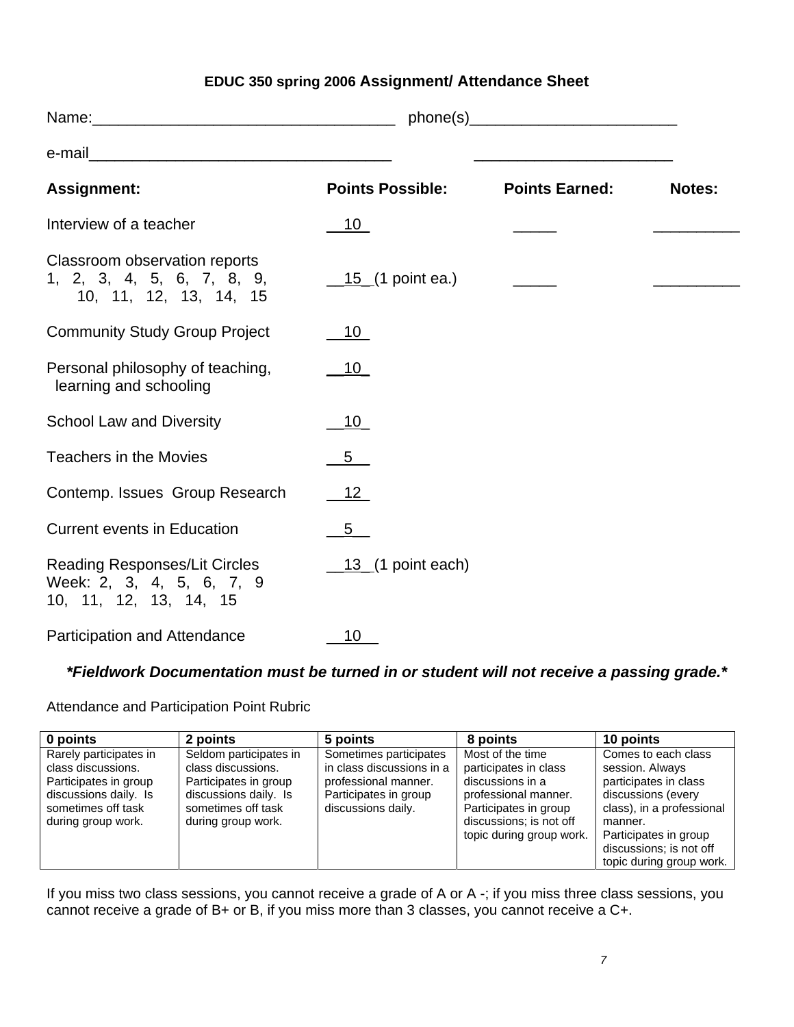# **EDUC 350 spring 2006 Assignment/ Attendance Sheet**

|                                                                                             |                                             | $phone(s)$ and $($ s and $($ s and $($ s and $($ s and $($ s and $($ s and $($ s and $($ s and $($ s and $($ s and $($ s and $($ s and $($ s and $($ s and $($ s and $($ s and $($ s and $($ s and $($ s and $($ s and $($ s and $($ s and $($ s and $($ s |               |
|---------------------------------------------------------------------------------------------|---------------------------------------------|------------------------------------------------------------------------------------------------------------------------------------------------------------------------------------------------------------------------------------------------------------|---------------|
|                                                                                             |                                             |                                                                                                                                                                                                                                                            |               |
| <b>Assignment:</b>                                                                          | <b>Points Possible:</b>                     | <b>Points Earned:</b>                                                                                                                                                                                                                                      | <b>Notes:</b> |
| Interview of a teacher                                                                      | 10                                          |                                                                                                                                                                                                                                                            |               |
| Classroom observation reports<br>1, 2, 3, 4, 5, 6, 7, 8, 9,<br>10, 11, 12, 13, 14, 15       | $\underline{\hspace{1cm}} 15$ (1 point ea.) |                                                                                                                                                                                                                                                            |               |
| <b>Community Study Group Project</b>                                                        | 10                                          |                                                                                                                                                                                                                                                            |               |
| Personal philosophy of teaching,<br>learning and schooling                                  | $\_10$                                      |                                                                                                                                                                                                                                                            |               |
| <b>School Law and Diversity</b>                                                             | 10                                          |                                                                                                                                                                                                                                                            |               |
| <b>Teachers in the Movies</b>                                                               | 5                                           |                                                                                                                                                                                                                                                            |               |
| Contemp. Issues Group Research                                                              | $-12$                                       |                                                                                                                                                                                                                                                            |               |
| <b>Current events in Education</b>                                                          | 5 <sub>5</sub>                              |                                                                                                                                                                                                                                                            |               |
| <b>Reading Responses/Lit Circles</b><br>Week: 2, 3, 4, 5, 6, 7, 9<br>10, 11, 12, 13, 14, 15 | $\_13$ (1 point each)                       |                                                                                                                                                                                                                                                            |               |
| Participation and Attendance                                                                | 10                                          |                                                                                                                                                                                                                                                            |               |

# *\*Fieldwork Documentation must be turned in or student will not receive a passing grade.\**

Attendance and Participation Point Rubric

| 0 points                                                                                                                                   | 2 points                                                                                                                                   | 5 points                                                                                                                   | 8 points                                                                                                                                                              | 10 points                                                                                                                                                                                                     |
|--------------------------------------------------------------------------------------------------------------------------------------------|--------------------------------------------------------------------------------------------------------------------------------------------|----------------------------------------------------------------------------------------------------------------------------|-----------------------------------------------------------------------------------------------------------------------------------------------------------------------|---------------------------------------------------------------------------------------------------------------------------------------------------------------------------------------------------------------|
| Rarely participates in<br>class discussions.<br>Participates in group<br>discussions daily. Is<br>sometimes off task<br>during group work. | Seldom participates in<br>class discussions.<br>Participates in group<br>discussions daily. Is<br>sometimes off task<br>during group work. | Sometimes participates<br>in class discussions in a<br>professional manner.<br>Participates in group<br>discussions daily. | Most of the time<br>participates in class<br>discussions in a<br>professional manner.<br>Participates in group<br>discussions; is not off<br>topic during group work. | Comes to each class<br>session. Always<br>participates in class<br>discussions (every<br>class), in a professional<br>manner.<br>Participates in group<br>discussions; is not off<br>topic during group work. |

If you miss two class sessions, you cannot receive a grade of A or A -; if you miss three class sessions, you cannot receive a grade of B+ or B, if you miss more than 3 classes, you cannot receive a C+.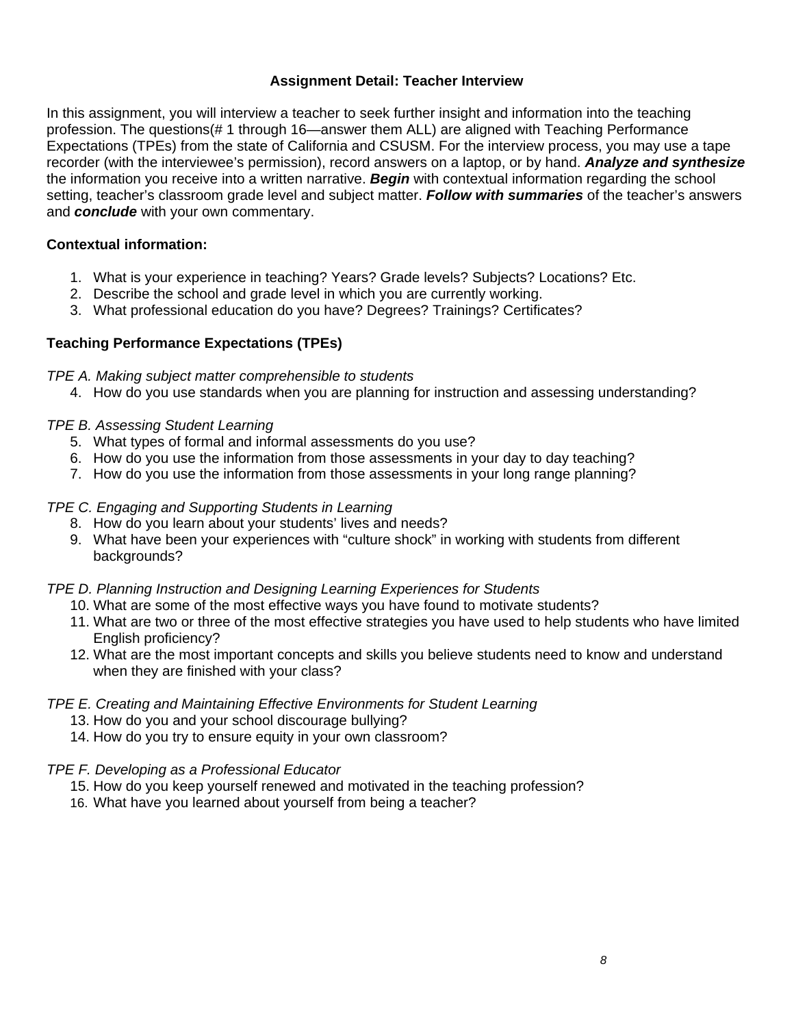## **Assignment Detail: Teacher Interview**

In this assignment, you will interview a teacher to seek further insight and information into the teaching profession. The questions(# 1 through 16—answer them ALL) are aligned with Teaching Performance Expectations (TPEs) from the state of California and CSUSM. For the interview process, you may use a tape recorder (with the interviewee's permission), record answers on a laptop, or by hand. *Analyze and synthesize* the information you receive into a written narrative. *Begin* with contextual information regarding the school setting, teacher's classroom grade level and subject matter. *Follow with summaries* of the teacher's answers and *conclude* with your own commentary.

## **Contextual information:**

- 1. What is your experience in teaching? Years? Grade levels? Subjects? Locations? Etc.
- 2. Describe the school and grade level in which you are currently working.
- 3. What professional education do you have? Degrees? Trainings? Certificates?

## **Teaching Performance Expectations (TPEs)**

### *TPE A. Making subject matter comprehensible to students*

4. How do you use standards when you are planning for instruction and assessing understanding?

### *TPE B. Assessing Student Learning*

- 5. What types of formal and informal assessments do you use?
- 6. How do you use the information from those assessments in your day to day teaching?
- 7. How do you use the information from those assessments in your long range planning?

## *TPE C. Engaging and Supporting Students in Learning*

- 8. How do you learn about your students' lives and needs?
- 9. What have been your experiences with "culture shock" in working with students from different backgrounds?

### *TPE D. Planning Instruction and Designing Learning Experiences for Students*

- 10. What are some of the most effective ways you have found to motivate students?
- 11. What are two or three of the most effective strategies you have used to help students who have limited English proficiency?
- 12. What are the most important concepts and skills you believe students need to know and understand when they are finished with your class?

### *TPE E. Creating and Maintaining Effective Environments for Student Learning*

- 13. How do you and your school discourage bullying?
- 14. How do you try to ensure equity in your own classroom?

### *TPE F. Developing as a Professional Educator*

- 15. How do you keep yourself renewed and motivated in the teaching profession?
- 16. What have you learned about yourself from being a teacher?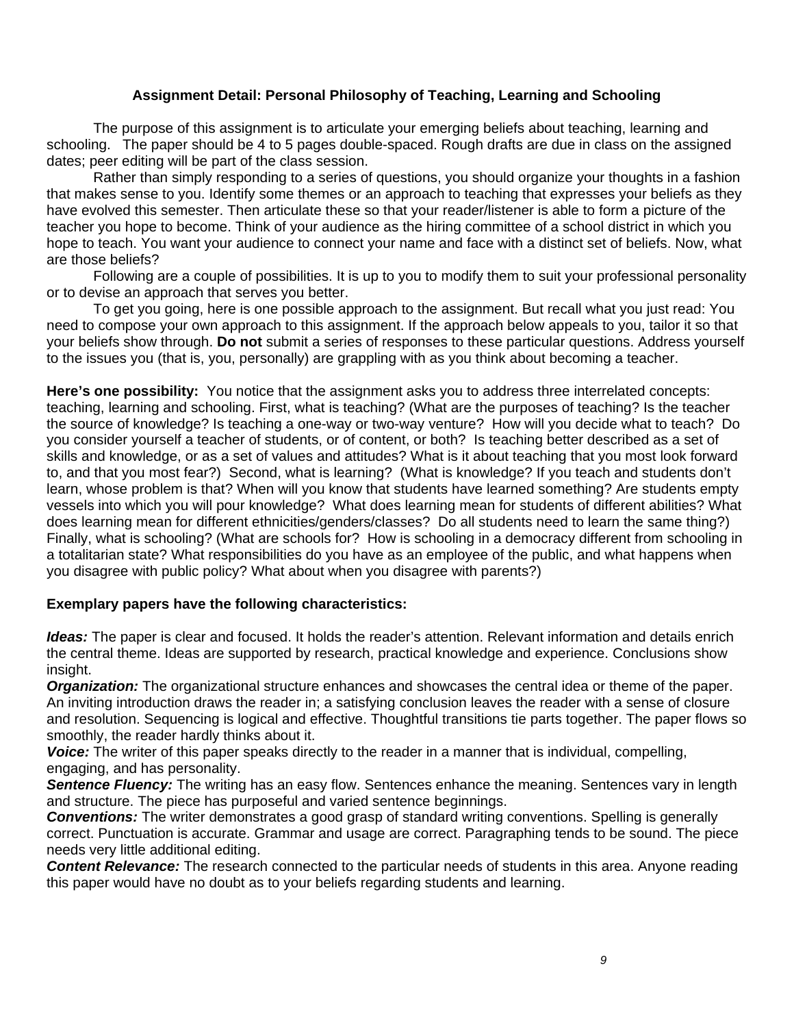#### **Assignment Detail: Personal Philosophy of Teaching, Learning and Schooling**

The purpose of this assignment is to articulate your emerging beliefs about teaching, learning and schooling. The paper should be 4 to 5 pages double-spaced. Rough drafts are due in class on the assigned dates; peer editing will be part of the class session.

Rather than simply responding to a series of questions, you should organize your thoughts in a fashion that makes sense to you. Identify some themes or an approach to teaching that expresses your beliefs as they have evolved this semester. Then articulate these so that your reader/listener is able to form a picture of the teacher you hope to become. Think of your audience as the hiring committee of a school district in which you hope to teach. You want your audience to connect your name and face with a distinct set of beliefs. Now, what are those beliefs?

Following are a couple of possibilities. It is up to you to modify them to suit your professional personality or to devise an approach that serves you better.

To get you going, here is one possible approach to the assignment. But recall what you just read: You need to compose your own approach to this assignment. If the approach below appeals to you, tailor it so that your beliefs show through. **Do not** submit a series of responses to these particular questions. Address yourself to the issues you (that is, you, personally) are grappling with as you think about becoming a teacher.

**Here's one possibility:** You notice that the assignment asks you to address three interrelated concepts: teaching, learning and schooling. First, what is teaching? (What are the purposes of teaching? Is the teacher the source of knowledge? Is teaching a one-way or two-way venture? How will you decide what to teach? Do you consider yourself a teacher of students, or of content, or both? Is teaching better described as a set of skills and knowledge, or as a set of values and attitudes? What is it about teaching that you most look forward to, and that you most fear?) Second, what is learning? (What is knowledge? If you teach and students don't learn, whose problem is that? When will you know that students have learned something? Are students empty vessels into which you will pour knowledge? What does learning mean for students of different abilities? What does learning mean for different ethnicities/genders/classes? Do all students need to learn the same thing?) Finally, what is schooling? (What are schools for? How is schooling in a democracy different from schooling in a totalitarian state? What responsibilities do you have as an employee of the public, and what happens when you disagree with public policy? What about when you disagree with parents?)

#### **Exemplary papers have the following characteristics:**

*Ideas:* The paper is clear and focused. It holds the reader's attention. Relevant information and details enrich the central theme. Ideas are supported by research, practical knowledge and experience. Conclusions show insight.

*Organization:* The organizational structure enhances and showcases the central idea or theme of the paper. An inviting introduction draws the reader in; a satisfying conclusion leaves the reader with a sense of closure and resolution. Sequencing is logical and effective. Thoughtful transitions tie parts together. The paper flows so smoothly, the reader hardly thinks about it.

*Voice:* The writer of this paper speaks directly to the reader in a manner that is individual, compelling, engaging, and has personality.

**Sentence Fluency:** The writing has an easy flow. Sentences enhance the meaning. Sentences vary in length and structure. The piece has purposeful and varied sentence beginnings.

*Conventions:* The writer demonstrates a good grasp of standard writing conventions. Spelling is generally correct. Punctuation is accurate. Grammar and usage are correct. Paragraphing tends to be sound. The piece needs very little additional editing.

*Content Relevance:* The research connected to the particular needs of students in this area. Anyone reading this paper would have no doubt as to your beliefs regarding students and learning.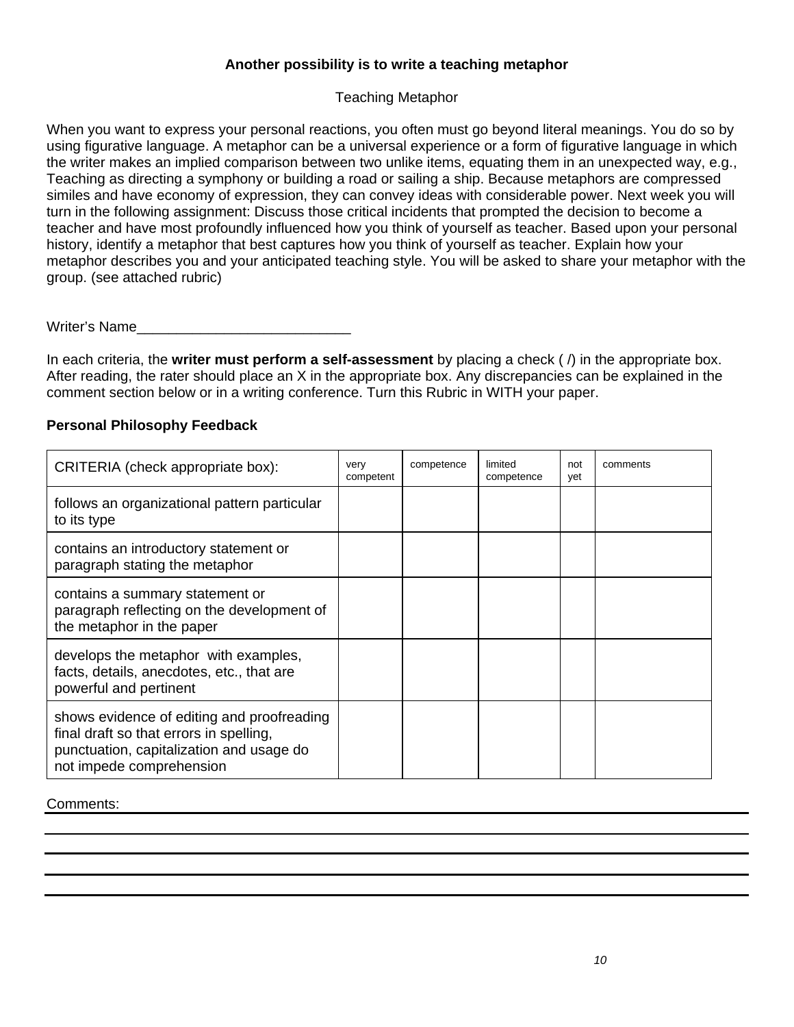## **Another possibility is to write a teaching metaphor**

## Teaching Metaphor

When you want to express your personal reactions, you often must go beyond literal meanings. You do so by using figurative language. A metaphor can be a universal experience or a form of figurative language in which the writer makes an implied comparison between two unlike items, equating them in an unexpected way, e.g., Teaching as directing a symphony or building a road or sailing a ship. Because metaphors are compressed similes and have economy of expression, they can convey ideas with considerable power. Next week you will turn in the following assignment: Discuss those critical incidents that prompted the decision to become a teacher and have most profoundly influenced how you think of yourself as teacher. Based upon your personal history, identify a metaphor that best captures how you think of yourself as teacher. Explain how your metaphor describes you and your anticipated teaching style. You will be asked to share your metaphor with the group. (see attached rubric)

Writer's Name

In each criteria, the **writer must perform a self-assessment** by placing a check ( /) in the appropriate box. After reading, the rater should place an X in the appropriate box. Any discrepancies can be explained in the comment section below or in a writing conference. Turn this Rubric in WITH your paper.

### **Personal Philosophy Feedback**

| CRITERIA (check appropriate box):                                                                                                                             | very<br>competent | competence | limited<br>competence | not<br>vet | comments |
|---------------------------------------------------------------------------------------------------------------------------------------------------------------|-------------------|------------|-----------------------|------------|----------|
| follows an organizational pattern particular<br>to its type                                                                                                   |                   |            |                       |            |          |
| contains an introductory statement or<br>paragraph stating the metaphor                                                                                       |                   |            |                       |            |          |
| contains a summary statement or<br>paragraph reflecting on the development of<br>the metaphor in the paper                                                    |                   |            |                       |            |          |
| develops the metaphor with examples,<br>facts, details, anecdotes, etc., that are<br>powerful and pertinent                                                   |                   |            |                       |            |          |
| shows evidence of editing and proofreading<br>final draft so that errors in spelling,<br>punctuation, capitalization and usage do<br>not impede comprehension |                   |            |                       |            |          |

#### Comments: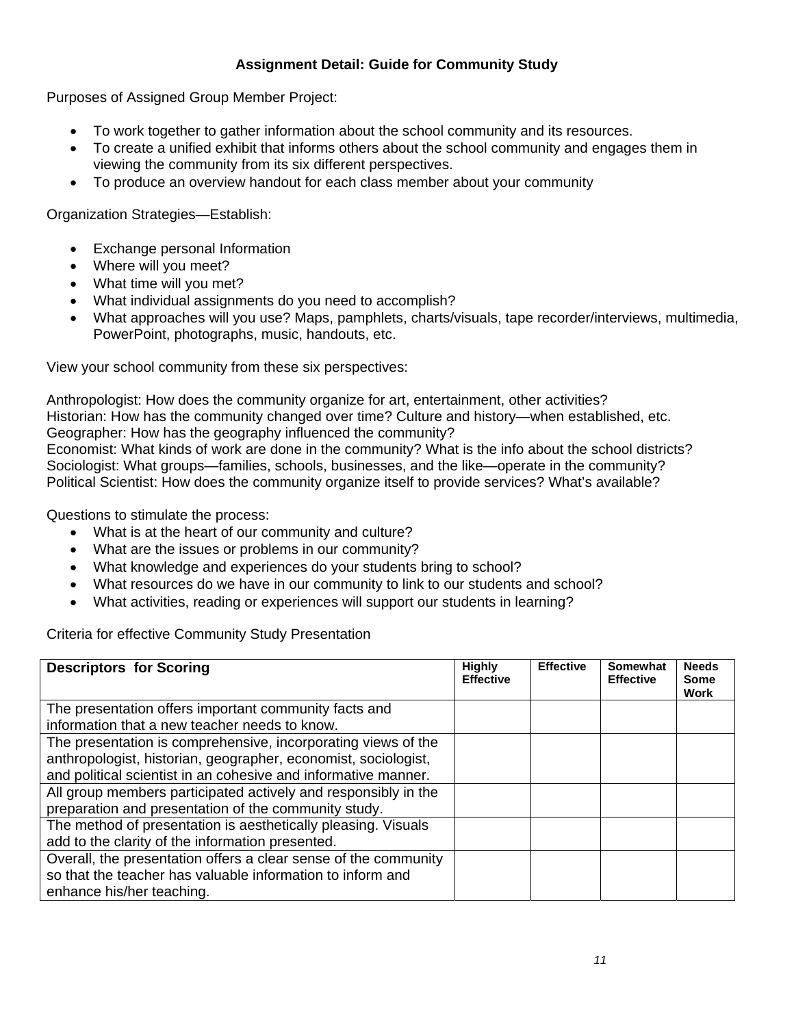## **Assignment Detail: Guide for Community Study**

Purposes of Assigned Group Member Project:

- To work together to gather information about the school community and its resources.
- To create a unified exhibit that informs others about the school community and engages them in viewing the community from its six different perspectives.
- To produce an overview handout for each class member about your community

Organization Strategies—Establish:

- Exchange personal Information
- Where will you meet?
- What time will you met?
- What individual assignments do you need to accomplish?
- What approaches will you use? Maps, pamphlets, charts/visuals, tape recorder/interviews, multimedia, PowerPoint, photographs, music, handouts, etc.

View your school community from these six perspectives:

Anthropologist: How does the community organize for art, entertainment, other activities? Historian: How has the community changed over time? Culture and history—when established, etc. Geographer: How has the geography influenced the community? Economist: What kinds of work are done in the community? What is the info about the school districts? Sociologist: What groups—families, schools, businesses, and the like—operate in the community? Political Scientist: How does the community organize itself to provide services? What's available?

Questions to stimulate the process:

- What is at the heart of our community and culture?
- What are the issues or problems in our community?
- What knowledge and experiences do your students bring to school?
- What resources do we have in our community to link to our students and school?
- What activities, reading or experiences will support our students in learning?

Criteria for effective Community Study Presentation

| <b>Descriptors for Scoring</b>                                                                                                                                                                    | <b>Highly</b><br><b>Effective</b> | <b>Effective</b> | Somewhat<br><b>Effective</b> | <b>Needs</b><br><b>Some</b><br>Work |
|---------------------------------------------------------------------------------------------------------------------------------------------------------------------------------------------------|-----------------------------------|------------------|------------------------------|-------------------------------------|
| The presentation offers important community facts and<br>information that a new teacher needs to know.                                                                                            |                                   |                  |                              |                                     |
| The presentation is comprehensive, incorporating views of the<br>anthropologist, historian, geographer, economist, sociologist,<br>and political scientist in an cohesive and informative manner. |                                   |                  |                              |                                     |
| All group members participated actively and responsibly in the<br>preparation and presentation of the community study.                                                                            |                                   |                  |                              |                                     |
| The method of presentation is aesthetically pleasing. Visuals<br>add to the clarity of the information presented.                                                                                 |                                   |                  |                              |                                     |
| Overall, the presentation offers a clear sense of the community<br>so that the teacher has valuable information to inform and<br>enhance his/her teaching.                                        |                                   |                  |                              |                                     |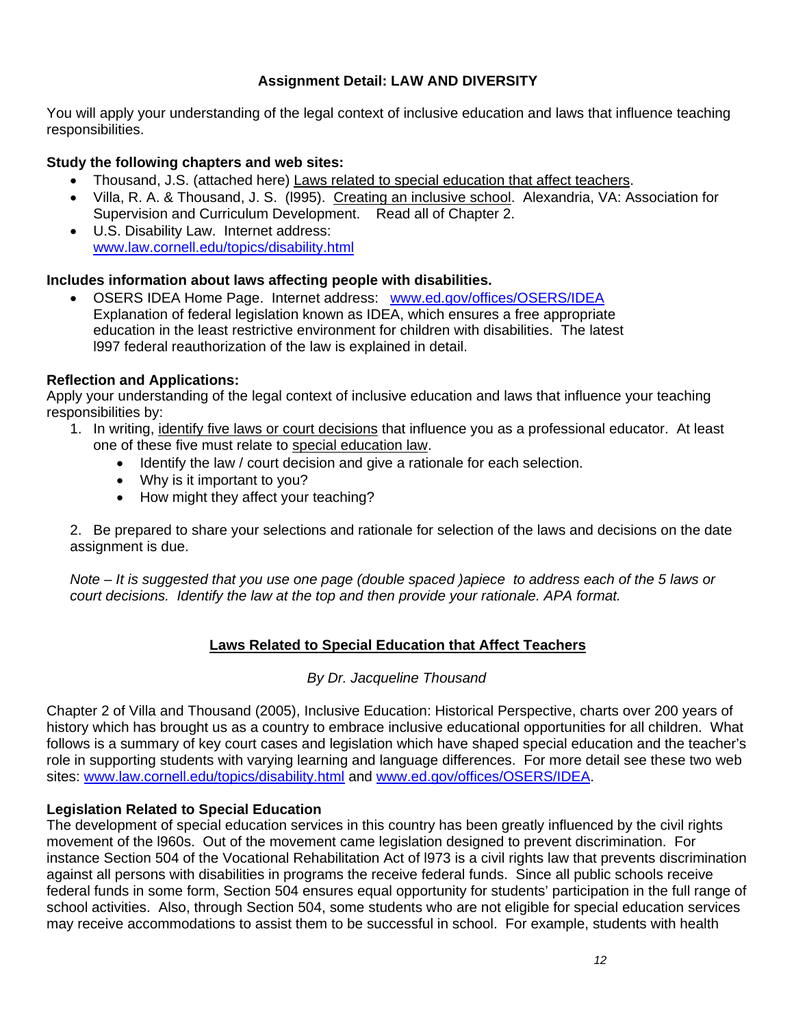## **Assignment Detail: LAW AND DIVERSITY**

You will apply your understanding of the legal context of inclusive education and laws that influence teaching responsibilities.

## **Study the following chapters and web sites:**

- Thousand, J.S. (attached here) Laws related to special education that affect teachers.
- Villa, R. A. & Thousand, J. S. (l995). Creating an inclusive school. Alexandria, VA: Association for Supervision and Curriculum Development. Read all of Chapter 2.
- U.S. Disability Law. Internet address: www.law.cornell.edu/topics/disability.html

## **Includes information about laws affecting people with disabilities.**

• OSERS IDEA Home Page. Internet address: www.ed.gov/offices/OSERS/IDEA Explanation of federal legislation known as IDEA, which ensures a free appropriate education in the least restrictive environment for children with disabilities. The latest l997 federal reauthorization of the law is explained in detail.

## **Reflection and Applications:**

Apply your understanding of the legal context of inclusive education and laws that influence your teaching responsibilities by:

- 1. In writing, identify five laws or court decisions that influence you as a professional educator. At least one of these five must relate to special education law.
	- Identify the law / court decision and give a rationale for each selection.
	- Why is it important to you?
	- How might they affect your teaching?

2. Be prepared to share your selections and rationale for selection of the laws and decisions on the date assignment is due.

*Note – It is suggested that you use one page (double spaced )apiece to address each of the 5 laws or court decisions. Identify the law at the top and then provide your rationale. APA format.* 

## **Laws Related to Special Education that Affect Teachers**

### *By Dr. Jacqueline Thousand*

Chapter 2 of Villa and Thousand (2005), Inclusive Education: Historical Perspective, charts over 200 years of history which has brought us as a country to embrace inclusive educational opportunities for all children. What follows is a summary of key court cases and legislation which have shaped special education and the teacher's role in supporting students with varying learning and language differences. For more detail see these two web sites: www.law.cornell.edu/topics/disability.html and www.ed.gov/offices/OSERS/IDEA.

### **Legislation Related to Special Education**

The development of special education services in this country has been greatly influenced by the civil rights movement of the l960s. Out of the movement came legislation designed to prevent discrimination. For instance Section 504 of the Vocational Rehabilitation Act of l973 is a civil rights law that prevents discrimination against all persons with disabilities in programs the receive federal funds. Since all public schools receive federal funds in some form, Section 504 ensures equal opportunity for students' participation in the full range of school activities. Also, through Section 504, some students who are not eligible for special education services may receive accommodations to assist them to be successful in school. For example, students with health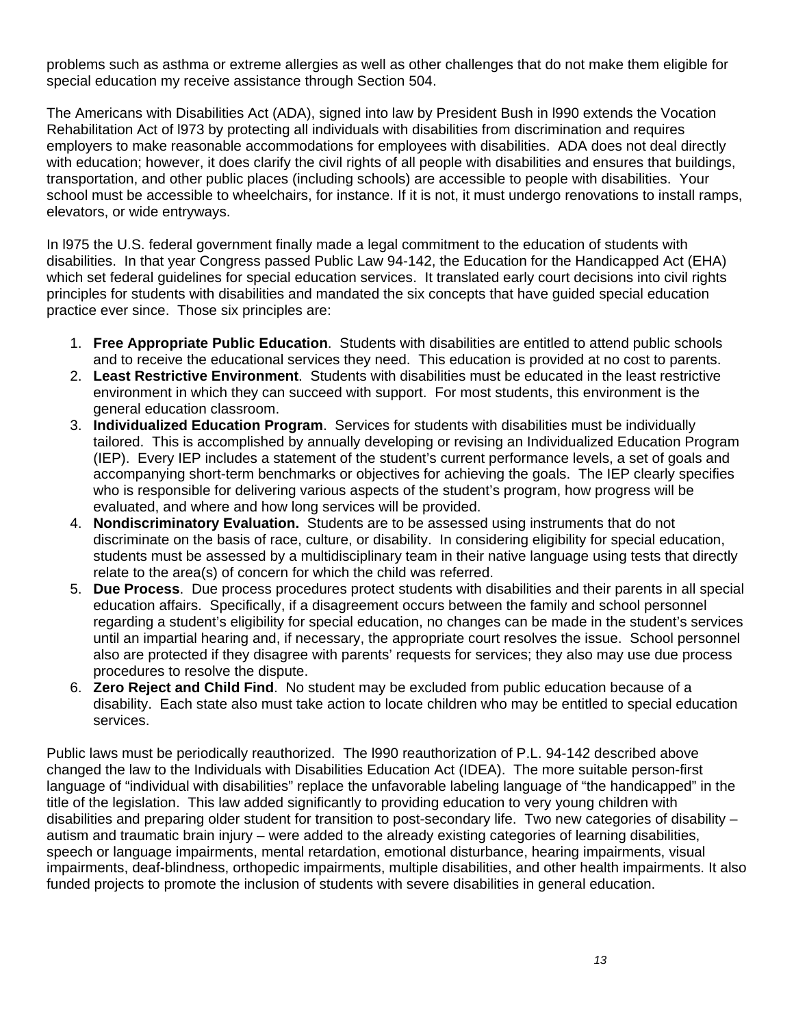problems such as asthma or extreme allergies as well as other challenges that do not make them eligible for special education my receive assistance through Section 504.

The Americans with Disabilities Act (ADA), signed into law by President Bush in l990 extends the Vocation Rehabilitation Act of l973 by protecting all individuals with disabilities from discrimination and requires employers to make reasonable accommodations for employees with disabilities. ADA does not deal directly with education; however, it does clarify the civil rights of all people with disabilities and ensures that buildings, transportation, and other public places (including schools) are accessible to people with disabilities. Your school must be accessible to wheelchairs, for instance. If it is not, it must undergo renovations to install ramps, elevators, or wide entryways.

In l975 the U.S. federal government finally made a legal commitment to the education of students with disabilities. In that year Congress passed Public Law 94-142, the Education for the Handicapped Act (EHA) which set federal guidelines for special education services. It translated early court decisions into civil rights principles for students with disabilities and mandated the six concepts that have guided special education practice ever since. Those six principles are:

- 1. **Free Appropriate Public Education**. Students with disabilities are entitled to attend public schools and to receive the educational services they need. This education is provided at no cost to parents.
- 2. **Least Restrictive Environment**. Students with disabilities must be educated in the least restrictive environment in which they can succeed with support. For most students, this environment is the general education classroom.
- 3. **Individualized Education Program**. Services for students with disabilities must be individually tailored. This is accomplished by annually developing or revising an Individualized Education Program (IEP). Every IEP includes a statement of the student's current performance levels, a set of goals and accompanying short-term benchmarks or objectives for achieving the goals. The IEP clearly specifies who is responsible for delivering various aspects of the student's program, how progress will be evaluated, and where and how long services will be provided.
- 4. **Nondiscriminatory Evaluation.** Students are to be assessed using instruments that do not discriminate on the basis of race, culture, or disability. In considering eligibility for special education, students must be assessed by a multidisciplinary team in their native language using tests that directly relate to the area(s) of concern for which the child was referred.
- 5. **Due Process**. Due process procedures protect students with disabilities and their parents in all special education affairs. Specifically, if a disagreement occurs between the family and school personnel regarding a student's eligibility for special education, no changes can be made in the student's services until an impartial hearing and, if necessary, the appropriate court resolves the issue. School personnel also are protected if they disagree with parents' requests for services; they also may use due process procedures to resolve the dispute.
- 6. **Zero Reject and Child Find**. No student may be excluded from public education because of a disability. Each state also must take action to locate children who may be entitled to special education services.

Public laws must be periodically reauthorized. The l990 reauthorization of P.L. 94-142 described above changed the law to the Individuals with Disabilities Education Act (IDEA). The more suitable person-first language of "individual with disabilities" replace the unfavorable labeling language of "the handicapped" in the title of the legislation. This law added significantly to providing education to very young children with disabilities and preparing older student for transition to post-secondary life. Two new categories of disability – autism and traumatic brain injury – were added to the already existing categories of learning disabilities, speech or language impairments, mental retardation, emotional disturbance, hearing impairments, visual impairments, deaf-blindness, orthopedic impairments, multiple disabilities, and other health impairments. It also funded projects to promote the inclusion of students with severe disabilities in general education.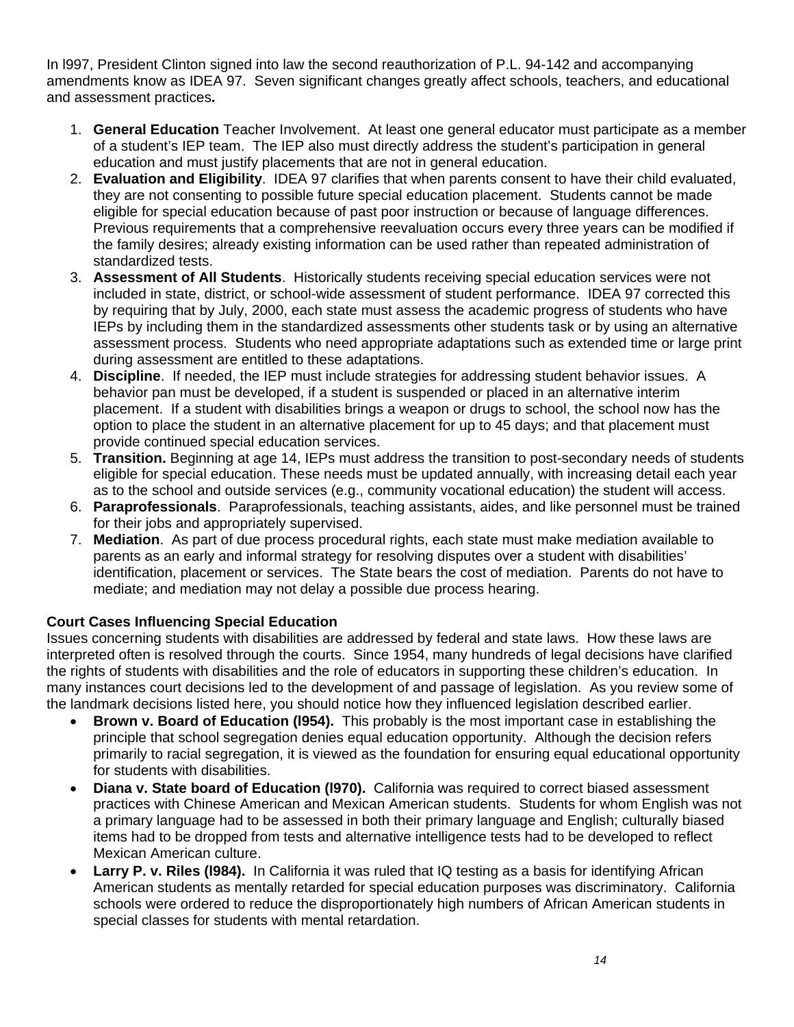In l997, President Clinton signed into law the second reauthorization of P.L. 94-142 and accompanying amendments know as IDEA 97. Seven significant changes greatly affect schools, teachers, and educational and assessment practices**.** 

- 1. **General Education** Teacher Involvement. At least one general educator must participate as a member of a student's IEP team. The IEP also must directly address the student's participation in general education and must justify placements that are not in general education.
- 2. **Evaluation and Eligibility**. IDEA 97 clarifies that when parents consent to have their child evaluated, they are not consenting to possible future special education placement. Students cannot be made eligible for special education because of past poor instruction or because of language differences. Previous requirements that a comprehensive reevaluation occurs every three years can be modified if the family desires; already existing information can be used rather than repeated administration of standardized tests.
- 3. **Assessment of All Students**. Historically students receiving special education services were not included in state, district, or school-wide assessment of student performance. IDEA 97 corrected this by requiring that by July, 2000, each state must assess the academic progress of students who have IEPs by including them in the standardized assessments other students task or by using an alternative assessment process. Students who need appropriate adaptations such as extended time or large print during assessment are entitled to these adaptations.
- 4. **Discipline**. If needed, the IEP must include strategies for addressing student behavior issues. A behavior pan must be developed, if a student is suspended or placed in an alternative interim placement. If a student with disabilities brings a weapon or drugs to school, the school now has the option to place the student in an alternative placement for up to 45 days; and that placement must provide continued special education services.
- 5. **Transition.** Beginning at age 14, IEPs must address the transition to post-secondary needs of students eligible for special education. These needs must be updated annually, with increasing detail each year as to the school and outside services (e.g., community vocational education) the student will access.
- 6. **Paraprofessionals**. Paraprofessionals, teaching assistants, aides, and like personnel must be trained for their jobs and appropriately supervised.
- 7. **Mediation**. As part of due process procedural rights, each state must make mediation available to parents as an early and informal strategy for resolving disputes over a student with disabilities' identification, placement or services. The State bears the cost of mediation. Parents do not have to mediate; and mediation may not delay a possible due process hearing.

## **Court Cases Influencing Special Education**

Issues concerning students with disabilities are addressed by federal and state laws. How these laws are interpreted often is resolved through the courts. Since 1954, many hundreds of legal decisions have clarified the rights of students with disabilities and the role of educators in supporting these children's education. In many instances court decisions led to the development of and passage of legislation. As you review some of the landmark decisions listed here, you should notice how they influenced legislation described earlier.

- **Brown v. Board of Education (l954).** This probably is the most important case in establishing the principle that school segregation denies equal education opportunity. Although the decision refers primarily to racial segregation, it is viewed as the foundation for ensuring equal educational opportunity for students with disabilities.
- **Diana v. State board of Education (l970).** California was required to correct biased assessment practices with Chinese American and Mexican American students. Students for whom English was not a primary language had to be assessed in both their primary language and English; culturally biased items had to be dropped from tests and alternative intelligence tests had to be developed to reflect Mexican American culture.
- **Larry P. v. Riles (1984).** In California it was ruled that IQ testing as a basis for identifying African American students as mentally retarded for special education purposes was discriminatory. California schools were ordered to reduce the disproportionately high numbers of African American students in special classes for students with mental retardation.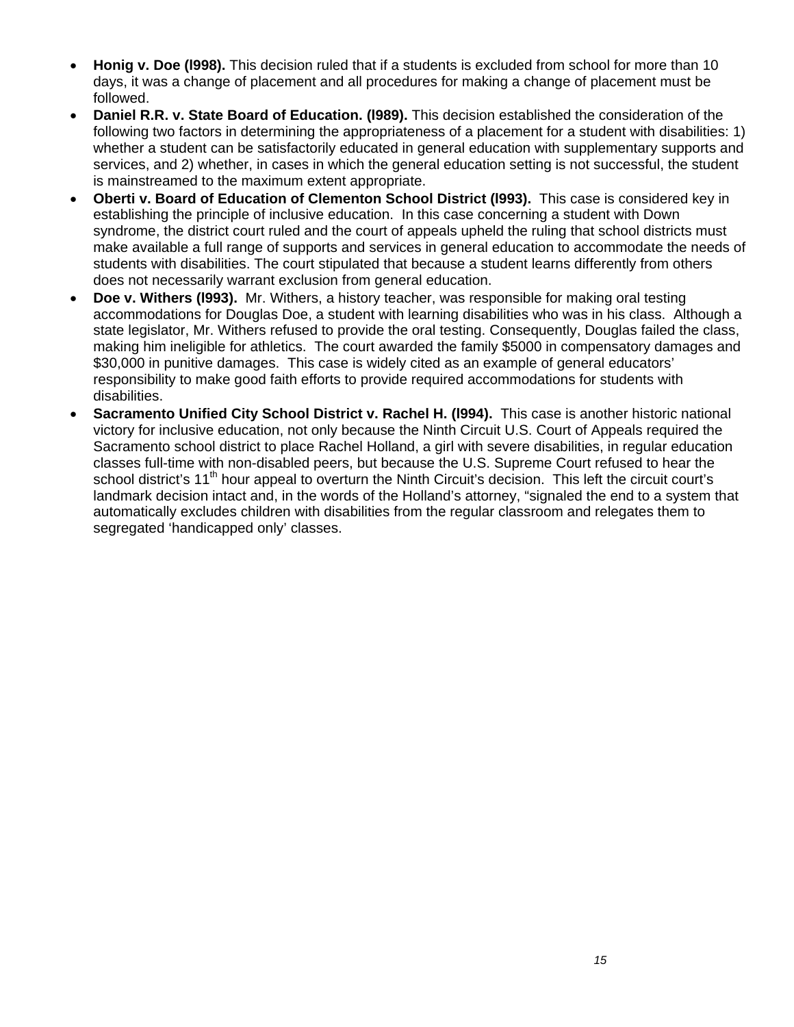- **Honig v. Doe (l998).** This decision ruled that if a students is excluded from school for more than 10 days, it was a change of placement and all procedures for making a change of placement must be followed.
- **Daniel R.R. v. State Board of Education. (l989).** This decision established the consideration of the following two factors in determining the appropriateness of a placement for a student with disabilities: 1) whether a student can be satisfactorily educated in general education with supplementary supports and services, and 2) whether, in cases in which the general education setting is not successful, the student is mainstreamed to the maximum extent appropriate.
- **Oberti v. Board of Education of Clementon School District (l993).** This case is considered key in establishing the principle of inclusive education. In this case concerning a student with Down syndrome, the district court ruled and the court of appeals upheld the ruling that school districts must make available a full range of supports and services in general education to accommodate the needs of students with disabilities. The court stipulated that because a student learns differently from others does not necessarily warrant exclusion from general education.
- **Doe v. Withers (l993).** Mr. Withers, a history teacher, was responsible for making oral testing accommodations for Douglas Doe, a student with learning disabilities who was in his class. Although a state legislator, Mr. Withers refused to provide the oral testing. Consequently, Douglas failed the class, making him ineligible for athletics. The court awarded the family \$5000 in compensatory damages and \$30,000 in punitive damages. This case is widely cited as an example of general educators' responsibility to make good faith efforts to provide required accommodations for students with disabilities.
- **Sacramento Unified City School District v. Rachel H. (l994).** This case is another historic national victory for inclusive education, not only because the Ninth Circuit U.S. Court of Appeals required the Sacramento school district to place Rachel Holland, a girl with severe disabilities, in regular education classes full-time with non-disabled peers, but because the U.S. Supreme Court refused to hear the school district's 11<sup>th</sup> hour appeal to overturn the Ninth Circuit's decision. This left the circuit court's landmark decision intact and, in the words of the Holland's attorney, "signaled the end to a system that automatically excludes children with disabilities from the regular classroom and relegates them to segregated 'handicapped only' classes.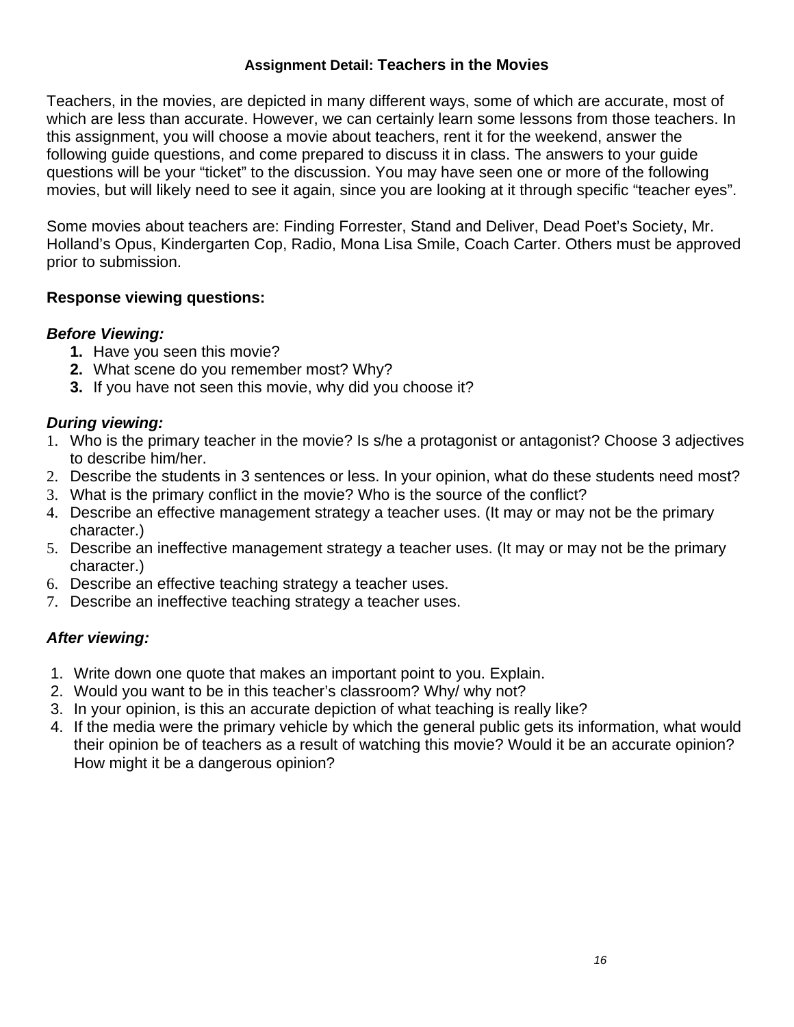## **Assignment Detail: Teachers in the Movies**

Teachers, in the movies, are depicted in many different ways, some of which are accurate, most of which are less than accurate. However, we can certainly learn some lessons from those teachers. In this assignment, you will choose a movie about teachers, rent it for the weekend, answer the following guide questions, and come prepared to discuss it in class. The answers to your guide questions will be your "ticket" to the discussion. You may have seen one or more of the following movies, but will likely need to see it again, since you are looking at it through specific "teacher eyes".

Some movies about teachers are: Finding Forrester, Stand and Deliver, Dead Poet's Society, Mr. Holland's Opus, Kindergarten Cop, Radio, Mona Lisa Smile, Coach Carter. Others must be approved prior to submission.

## **Response viewing questions:**

# *Before Viewing:*

- **1.** Have you seen this movie?
- **2.** What scene do you remember most? Why?
- **3.** If you have not seen this movie, why did you choose it?

# *During viewing:*

- 1. Who is the primary teacher in the movie? Is s/he a protagonist or antagonist? Choose 3 adjectives to describe him/her.
- 2. Describe the students in 3 sentences or less. In your opinion, what do these students need most?
- 3. What is the primary conflict in the movie? Who is the source of the conflict?
- 4. Describe an effective management strategy a teacher uses. (It may or may not be the primary character.)
- 5. Describe an ineffective management strategy a teacher uses. (It may or may not be the primary character.)
- 6. Describe an effective teaching strategy a teacher uses.
- 7. Describe an ineffective teaching strategy a teacher uses.

# *After viewing:*

- 1. Write down one quote that makes an important point to you. Explain.
- 2. Would you want to be in this teacher's classroom? Why/ why not?
- 3. In your opinion, is this an accurate depiction of what teaching is really like?
- 4. If the media were the primary vehicle by which the general public gets its information, what would their opinion be of teachers as a result of watching this movie? Would it be an accurate opinion? How might it be a dangerous opinion?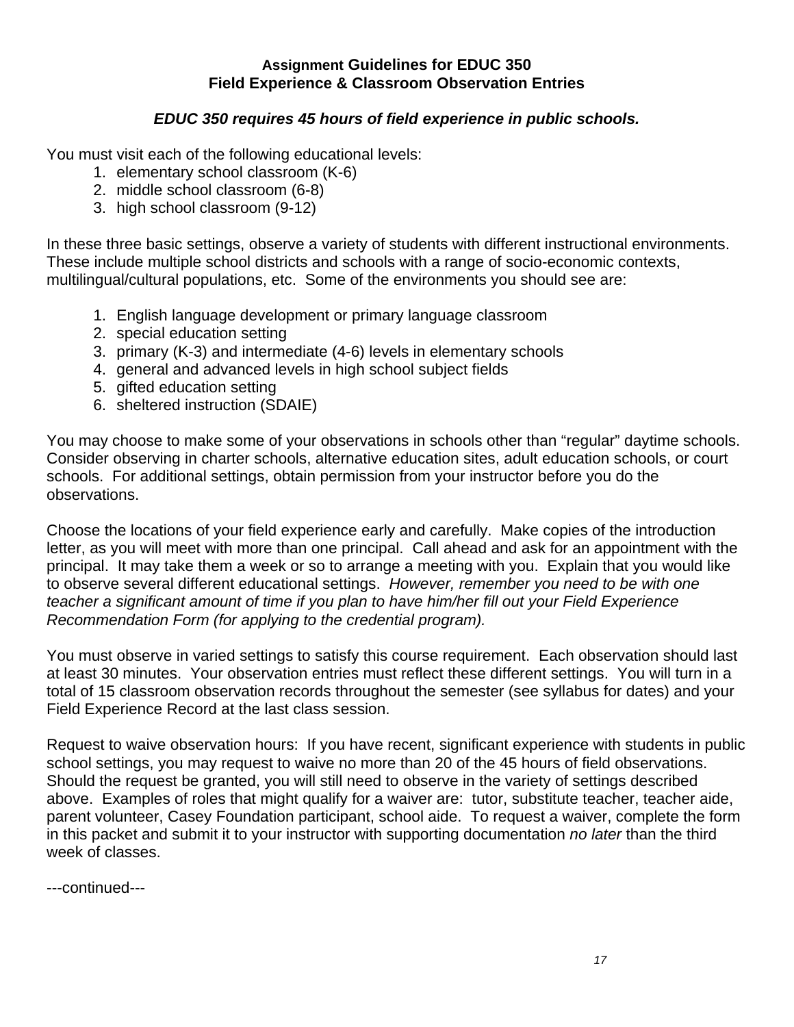## **Assignment Guidelines for EDUC 350 Field Experience & Classroom Observation Entries**

## *EDUC 350 requires 45 hours of field experience in public schools.*

You must visit each of the following educational levels:

- 1. elementary school classroom (K-6)
- 2. middle school classroom (6-8)
- 3. high school classroom (9-12)

In these three basic settings, observe a variety of students with different instructional environments. These include multiple school districts and schools with a range of socio-economic contexts, multilingual/cultural populations, etc. Some of the environments you should see are:

- 1. English language development or primary language classroom
- 2. special education setting
- 3. primary (K-3) and intermediate (4-6) levels in elementary schools
- 4. general and advanced levels in high school subject fields
- 5. gifted education setting
- 6. sheltered instruction (SDAIE)

You may choose to make some of your observations in schools other than "regular" daytime schools. Consider observing in charter schools, alternative education sites, adult education schools, or court schools. For additional settings, obtain permission from your instructor before you do the observations.

Choose the locations of your field experience early and carefully. Make copies of the introduction letter, as you will meet with more than one principal. Call ahead and ask for an appointment with the principal. It may take them a week or so to arrange a meeting with you. Explain that you would like to observe several different educational settings. *However, remember you need to be with one teacher a significant amount of time if you plan to have him/her fill out your Field Experience Recommendation Form (for applying to the credential program).* 

You must observe in varied settings to satisfy this course requirement. Each observation should last at least 30 minutes. Your observation entries must reflect these different settings. You will turn in a total of 15 classroom observation records throughout the semester (see syllabus for dates) and your Field Experience Record at the last class session.

Request to waive observation hours: If you have recent, significant experience with students in public school settings, you may request to waive no more than 20 of the 45 hours of field observations. Should the request be granted, you will still need to observe in the variety of settings described above. Examples of roles that might qualify for a waiver are: tutor, substitute teacher, teacher aide, parent volunteer, Casey Foundation participant, school aide. To request a waiver, complete the form in this packet and submit it to your instructor with supporting documentation *no later* than the third week of classes.

---continued---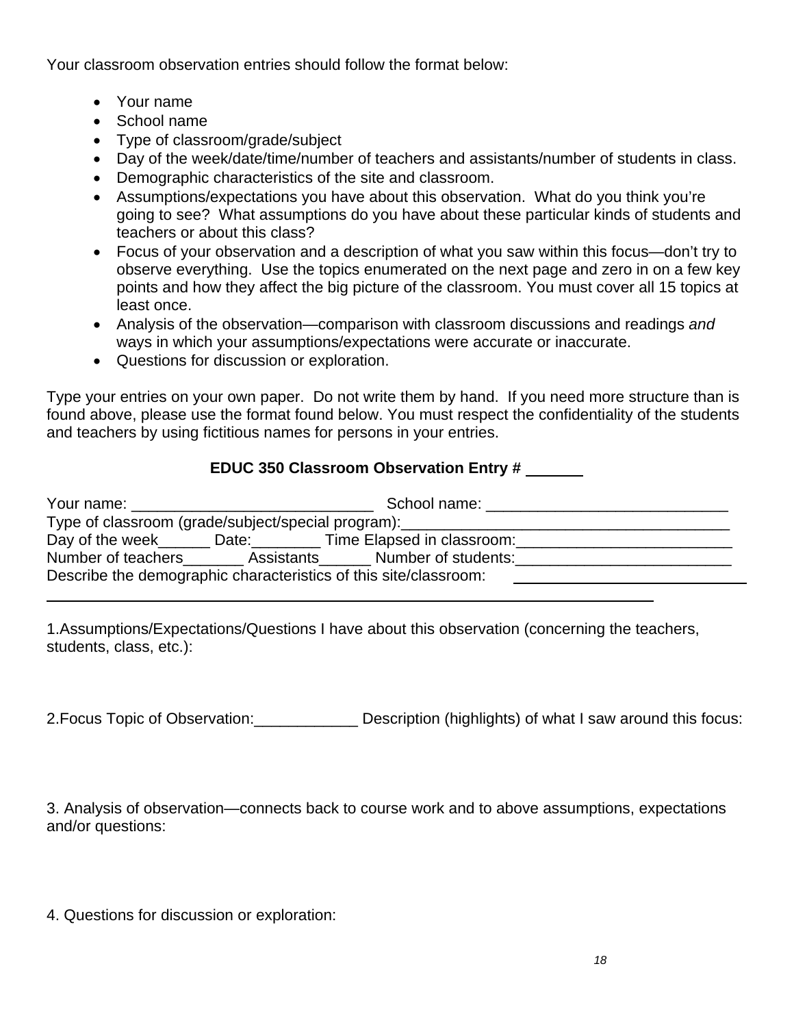Your classroom observation entries should follow the format below:

- Your name
- School name
- Type of classroom/grade/subject
- Day of the week/date/time/number of teachers and assistants/number of students in class.
- Demographic characteristics of the site and classroom.
- Assumptions/expectations you have about this observation. What do you think you're going to see? What assumptions do you have about these particular kinds of students and teachers or about this class?
- Focus of your observation and a description of what you saw within this focus—don't try to observe everything. Use the topics enumerated on the next page and zero in on a few key points and how they affect the big picture of the classroom. You must cover all 15 topics at least once.
- Analysis of the observation—comparison with classroom discussions and readings *and* ways in which your assumptions/expectations were accurate or inaccurate.
- Questions for discussion or exploration.

Type your entries on your own paper. Do not write them by hand. If you need more structure than is found above, please use the format found below. You must respect the confidentiality of the students and teachers by using fictitious names for persons in your entries.

# **EDUC 350 Classroom Observation Entry #**

|  | School name:                                                                     |  |
|--|----------------------------------------------------------------------------------|--|
|  | Type of classroom (grade/subject/special program): _____________________________ |  |
|  | Day of the week ______ Date: ________ Time Elapsed in classroom:                 |  |
|  | Number of teachers _________ Assistants _______ Number of students: ____________ |  |
|  | Describe the demographic characteristics of this site/classroom:                 |  |
|  |                                                                                  |  |

1.Assumptions/Expectations/Questions I have about this observation (concerning the teachers, students, class, etc.):

2.Focus Topic of Observation:\_\_\_\_\_\_\_\_\_\_\_\_ Description (highlights) of what I saw around this focus:

3. Analysis of observation—connects back to course work and to above assumptions, expectations and/or questions:

4. Questions for discussion or exploration: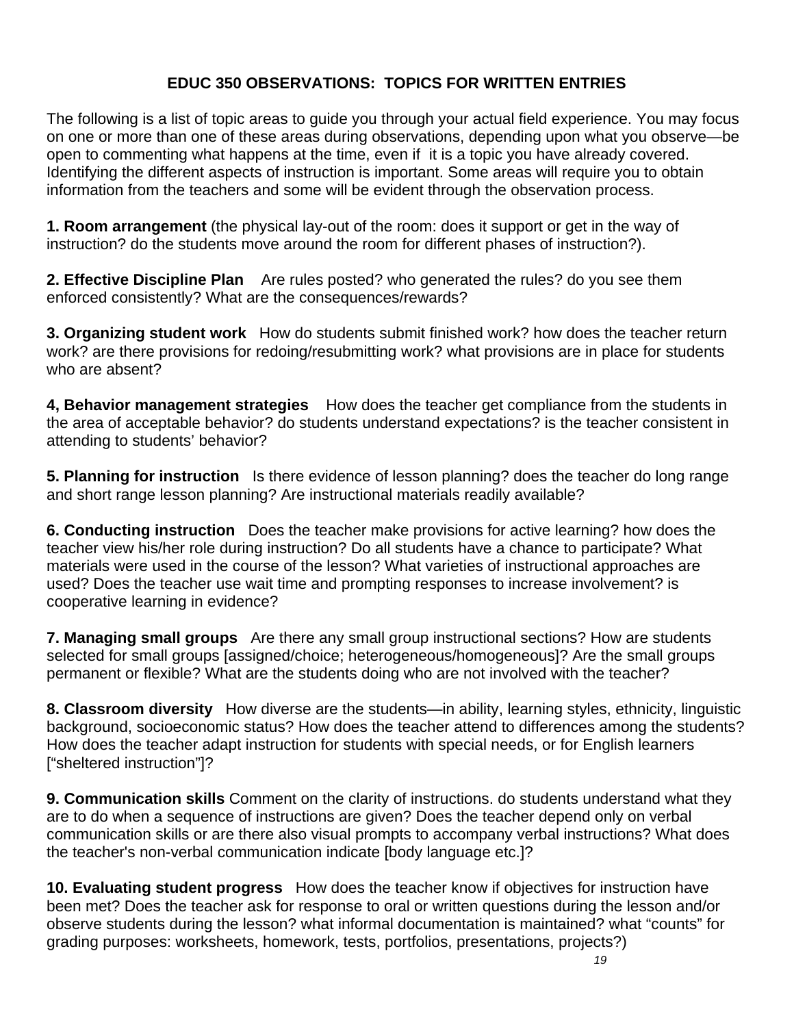# **EDUC 350 OBSERVATIONS: TOPICS FOR WRITTEN ENTRIES**

The following is a list of topic areas to guide you through your actual field experience. You may focus on one or more than one of these areas during observations, depending upon what you observe—be open to commenting what happens at the time, even if it is a topic you have already covered. Identifying the different aspects of instruction is important. Some areas will require you to obtain information from the teachers and some will be evident through the observation process.

**1. Room arrangement** (the physical lay-out of the room: does it support or get in the way of instruction? do the students move around the room for different phases of instruction?).

**2. Effective Discipline Plan** Are rules posted? who generated the rules? do you see them enforced consistently? What are the consequences/rewards?

**3. Organizing student work** How do students submit finished work? how does the teacher return work? are there provisions for redoing/resubmitting work? what provisions are in place for students who are absent?

**4, Behavior management strategies** How does the teacher get compliance from the students in the area of acceptable behavior? do students understand expectations? is the teacher consistent in attending to students' behavior?

**5. Planning for instruction** Is there evidence of lesson planning? does the teacher do long range and short range lesson planning? Are instructional materials readily available?

**6. Conducting instruction** Does the teacher make provisions for active learning? how does the teacher view his/her role during instruction? Do all students have a chance to participate? What materials were used in the course of the lesson? What varieties of instructional approaches are used? Does the teacher use wait time and prompting responses to increase involvement? is cooperative learning in evidence?

**7. Managing small groups** Are there any small group instructional sections? How are students selected for small groups [assigned/choice; heterogeneous/homogeneous]? Are the small groups permanent or flexible? What are the students doing who are not involved with the teacher?

**8. Classroom diversity** How diverse are the students—in ability, learning styles, ethnicity, linguistic background, socioeconomic status? How does the teacher attend to differences among the students? How does the teacher adapt instruction for students with special needs, or for English learners ["sheltered instruction"]?

**9. Communication skills** Comment on the clarity of instructions. do students understand what they are to do when a sequence of instructions are given? Does the teacher depend only on verbal communication skills or are there also visual prompts to accompany verbal instructions? What does the teacher's non-verbal communication indicate [body language etc.]?

**10. Evaluating student progress** How does the teacher know if objectives for instruction have been met? Does the teacher ask for response to oral or written questions during the lesson and/or observe students during the lesson? what informal documentation is maintained? what "counts" for grading purposes: worksheets, homework, tests, portfolios, presentations, projects?)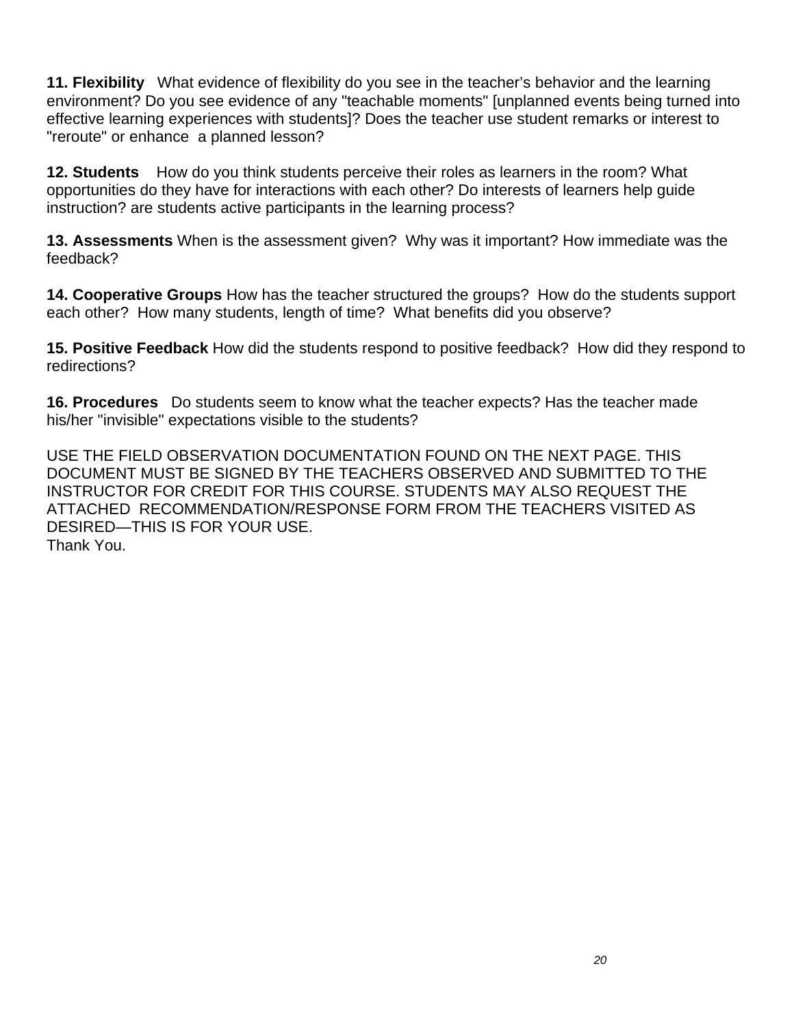**11. Flexibility** What evidence of flexibility do you see in the teacher's behavior and the learning environment? Do you see evidence of any "teachable moments" [unplanned events being turned into effective learning experiences with students]? Does the teacher use student remarks or interest to "reroute" or enhance a planned lesson?

**12. Students** How do you think students perceive their roles as learners in the room? What opportunities do they have for interactions with each other? Do interests of learners help guide instruction? are students active participants in the learning process?

**13. Assessments** When is the assessment given? Why was it important? How immediate was the feedback?

**14. Cooperative Groups** How has the teacher structured the groups? How do the students support each other? How many students, length of time? What benefits did you observe?

**15. Positive Feedback** How did the students respond to positive feedback? How did they respond to redirections?

**16. Procedures** Do students seem to know what the teacher expects? Has the teacher made his/her "invisible" expectations visible to the students?

USE THE FIELD OBSERVATION DOCUMENTATION FOUND ON THE NEXT PAGE. THIS DOCUMENT MUST BE SIGNED BY THE TEACHERS OBSERVED AND SUBMITTED TO THE INSTRUCTOR FOR CREDIT FOR THIS COURSE. STUDENTS MAY ALSO REQUEST THE ATTACHED RECOMMENDATION/RESPONSE FORM FROM THE TEACHERS VISITED AS DESIRED—THIS IS FOR YOUR USE. Thank You.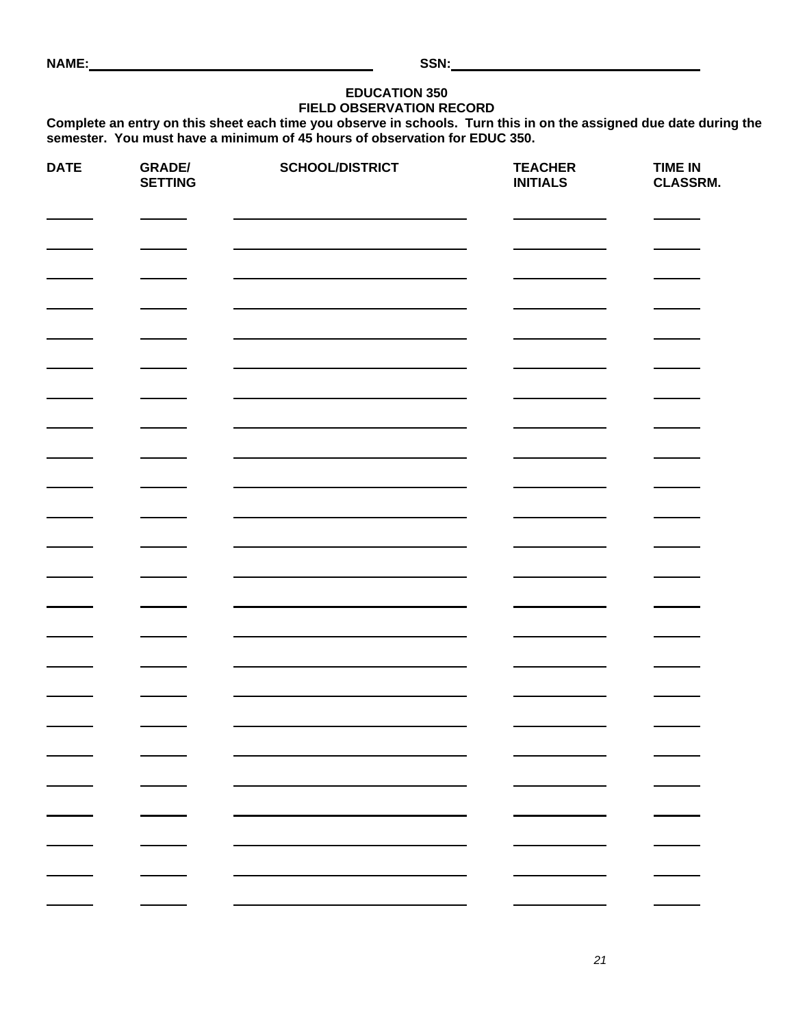#### **EDUCATION 350 FIELD OBSERVATION RECORD**

**Complete an entry on this sheet each time you observe in schools. Turn this in on the assigned due date during the semester. You must have a minimum of 45 hours of observation for EDUC 350.** 

| <b>DATE</b> | <b>GRADE/</b><br><b>SETTING</b> | <b>SCHOOL/DISTRICT</b> | <b>TEACHER</b><br><b>INITIALS</b> | <b>TIME IN</b><br>CLASSRM. |
|-------------|---------------------------------|------------------------|-----------------------------------|----------------------------|
|             |                                 |                        |                                   |                            |
|             |                                 |                        |                                   |                            |
|             |                                 |                        |                                   |                            |
|             |                                 |                        |                                   |                            |
|             |                                 |                        |                                   |                            |
|             |                                 |                        |                                   |                            |
|             |                                 |                        |                                   |                            |
|             |                                 |                        |                                   |                            |
|             |                                 |                        |                                   |                            |
|             |                                 |                        |                                   |                            |
|             |                                 |                        |                                   |                            |
|             |                                 |                        |                                   |                            |
|             |                                 |                        |                                   |                            |
|             |                                 |                        |                                   |                            |
|             |                                 |                        |                                   |                            |
|             |                                 |                        |                                   |                            |
|             |                                 |                        |                                   |                            |
|             |                                 |                        |                                   |                            |
|             |                                 |                        |                                   |                            |
|             |                                 |                        |                                   |                            |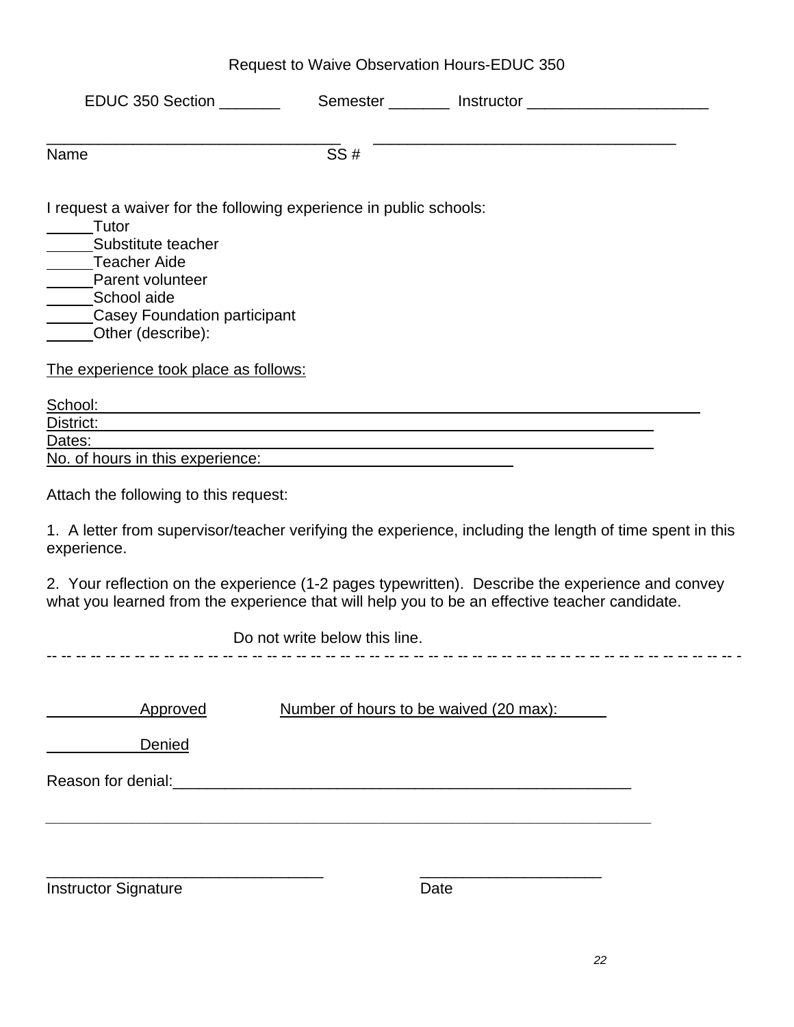|  |  | Request to Waive Observation Hours-EDUC 350 |
|--|--|---------------------------------------------|
|--|--|---------------------------------------------|

| Name                                                                                                                                                                                        | SS#                           |                                                                                                                                                                                                   |
|---------------------------------------------------------------------------------------------------------------------------------------------------------------------------------------------|-------------------------------|---------------------------------------------------------------------------------------------------------------------------------------------------------------------------------------------------|
| I request a waiver for the following experience in public schools:<br>Tutor<br>Substitute teacher<br>Teacher Aide<br>Parent volunteer<br>School aide<br><b>Casey Foundation participant</b> |                               |                                                                                                                                                                                                   |
| Other (describe):                                                                                                                                                                           |                               |                                                                                                                                                                                                   |
| The experience took place as follows:<br>School:                                                                                                                                            |                               |                                                                                                                                                                                                   |
| District:                                                                                                                                                                                   |                               |                                                                                                                                                                                                   |
| Dates:                                                                                                                                                                                      |                               |                                                                                                                                                                                                   |
| No. of hours in this experience:                                                                                                                                                            |                               |                                                                                                                                                                                                   |
| Attach the following to this request:                                                                                                                                                       |                               |                                                                                                                                                                                                   |
| experience.                                                                                                                                                                                 |                               | 1. A letter from supervisor/teacher verifying the experience, including the length of time spent in this                                                                                          |
|                                                                                                                                                                                             |                               | 2. Your reflection on the experience (1-2 pages typewritten). Describe the experience and convey<br>what you learned from the experience that will help you to be an effective teacher candidate. |
|                                                                                                                                                                                             | Do not write below this line. |                                                                                                                                                                                                   |
|                                                                                                                                                                                             |                               |                                                                                                                                                                                                   |
| Approved                                                                                                                                                                                    |                               | Number of hours to be waived (20 max):                                                                                                                                                            |
| <b>Denied</b>                                                                                                                                                                               |                               |                                                                                                                                                                                                   |
|                                                                                                                                                                                             |                               |                                                                                                                                                                                                   |
|                                                                                                                                                                                             |                               |                                                                                                                                                                                                   |
| <b>Instructor Signature</b>                                                                                                                                                                 |                               | Date                                                                                                                                                                                              |